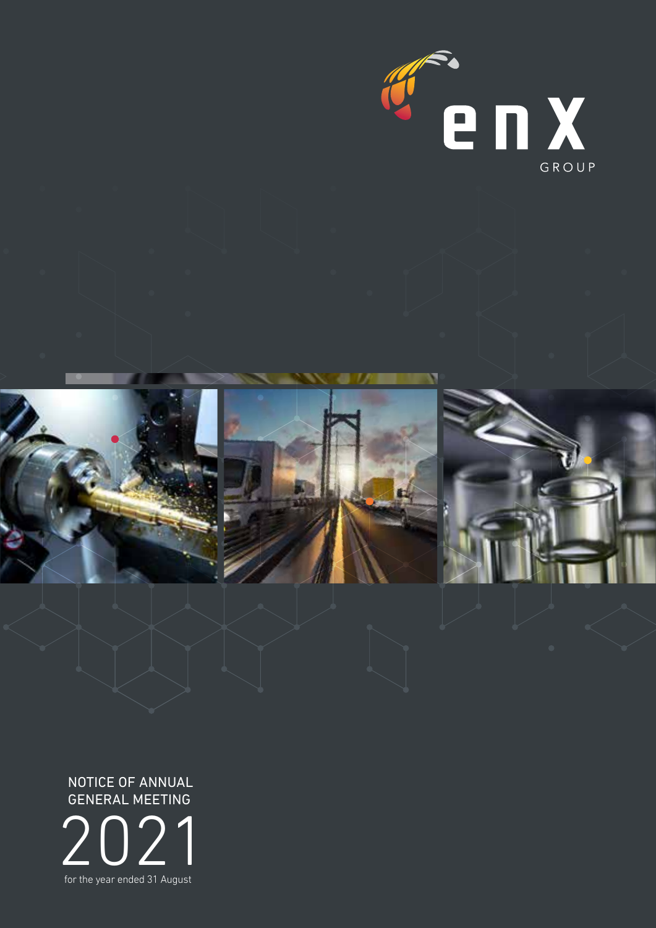

à,







2021 for the year ended 31 August NOTICE OF ANNUAL GENERAL MEETING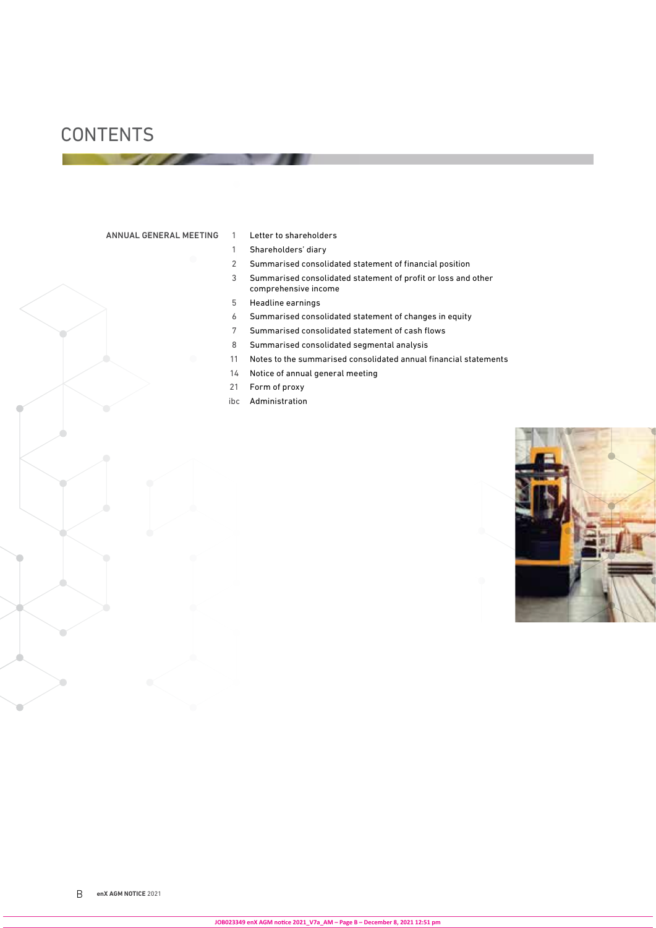## **CONTENTS**

#### ANNUAL GENERAL MEETING 1 Letter to shareholders

- 
- Shareholders' diary
- Summarised consolidated statement of financial position
- Summarised consolidated statement of profit or loss and other comprehensive income
- Headline earnings
- Summarised consolidated statement of changes in equity
- Summarised consolidated statement of cash flows
- Summarised consolidated segmental analysis
- Notes to the summarised consolidated annual financial statements
- Notice of annual general meeting
- Form of proxy
- ibc Administration

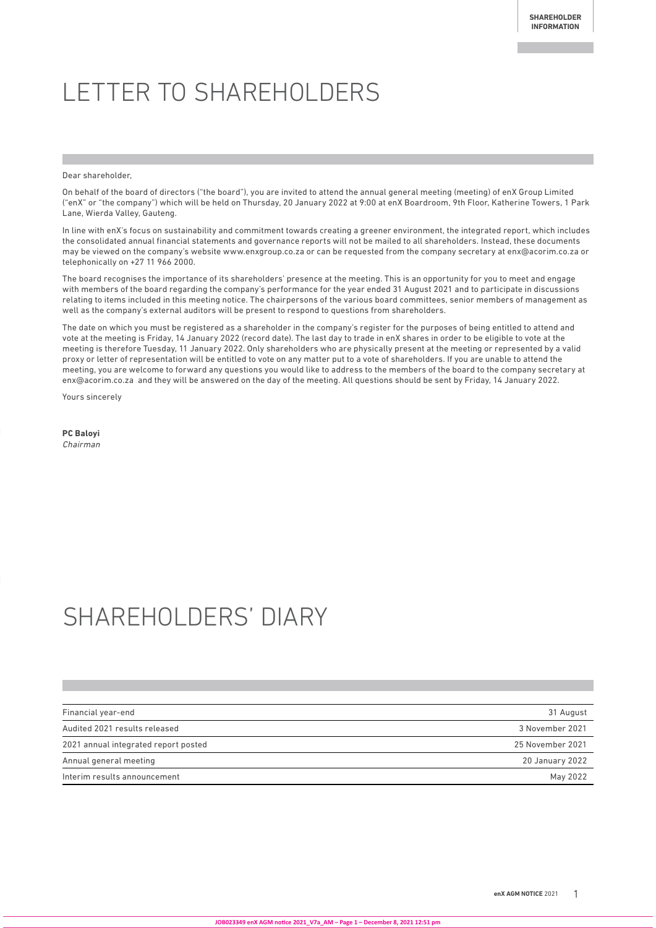# LETTER TO SHAREHOLDERS

Dear shareholder,

On behalf of the board of directors ("the board"), you are invited to attend the annual general meeting (meeting) of enX Group Limited ("enX" or "the company") which will be held on Thursday, 20 January 2022 at 9:00 at enX Boardroom, 9th Floor, Katherine Towers, 1 Park Lane, Wierda Valley, Gauteng.

In line with enX's focus on sustainability and commitment towards creating a greener environment, the integrated report, which includes the consolidated annual financial statements and governance reports will not be mailed to all shareholders. Instead, these documents may be viewed on the company's website www.enxgroup.co.za or can be requested from the company secretary at enx@acorim.co.za or telephonically on +27 11 966 2000.

The board recognises the importance of its shareholders' presence at the meeting. This is an opportunity for you to meet and engage with members of the board regarding the company's performance for the year ended 31 August 2021 and to participate in discussions relating to items included in this meeting notice. The chairpersons of the various board committees, senior members of management as well as the company's external auditors will be present to respond to questions from shareholders.

The date on which you must be registered as a shareholder in the company's register for the purposes of being entitled to attend and vote at the meeting is Friday, 14 January 2022 (record date). The last day to trade in enX shares in order to be eligible to vote at the meeting is therefore Tuesday, 11 January 2022. Only shareholders who are physically present at the meeting or represented by a valid proxy or letter of representation will be entitled to vote on any matter put to a vote of shareholders. If you are unable to attend the meeting, you are welcome to forward any questions you would like to address to the members of the board to the company secretary at enx@acorim.co.za and they will be answered on the day of the meeting. All questions should be sent by Friday, 14 January 2022.

Yours sincerely

**PC Baloyi** 

Chairman

# SHAREHOLDERS' DIARY

| Financial year-end                   | 31 August        |
|--------------------------------------|------------------|
| Audited 2021 results released        | 3 November 2021  |
| 2021 annual integrated report posted | 25 November 2021 |
| Annual general meeting               | 20 January 2022  |
| Interim results announcement         | May 2022         |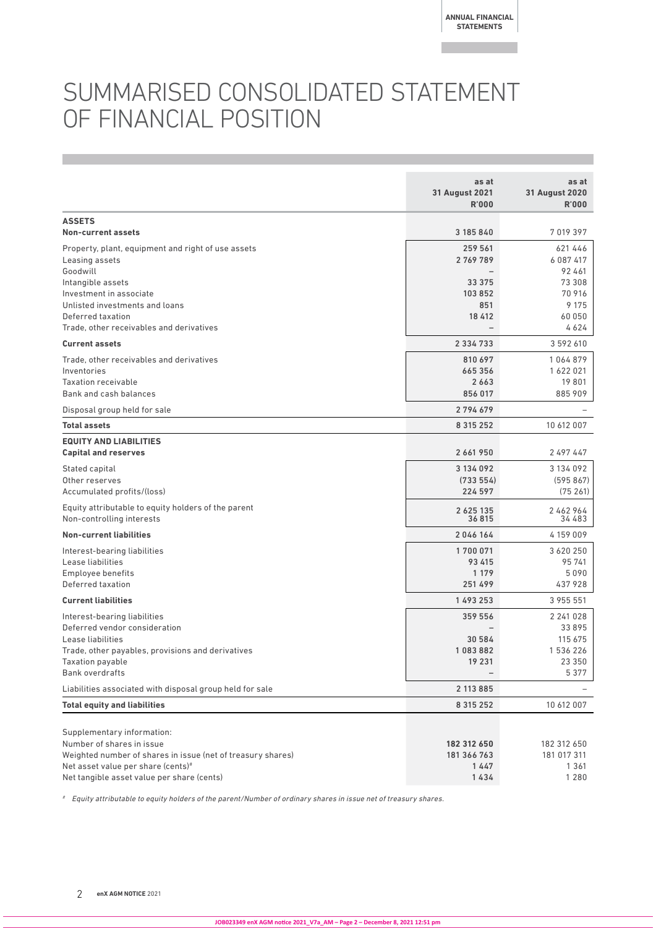## SUMMARISED CONSOLIDATED STATEMENT OF FINANCIAL POSITION

|                                                                                                                                                                                                            | as at<br><b>31 August 2021</b><br><b>R'000</b>              | as at<br><b>31 August 2020</b><br><b>R'000</b>                 |
|------------------------------------------------------------------------------------------------------------------------------------------------------------------------------------------------------------|-------------------------------------------------------------|----------------------------------------------------------------|
| <b>ASSETS</b><br><b>Non-current assets</b>                                                                                                                                                                 | 3 185 840                                                   | 7 019 397                                                      |
| Property, plant, equipment and right of use assets<br>Leasing assets<br>Goodwill                                                                                                                           | 259 561<br>2 769 789                                        | 621 446<br>6 087 417<br>92 461                                 |
| Intangible assets<br>Investment in associate<br>Unlisted investments and loans<br>Deferred taxation<br>Trade, other receivables and derivatives                                                            | 33 375<br>103852<br>851<br>18 412                           | 73 308<br>70 916<br>9 1 7 5<br>60 050<br>4624                  |
| <b>Current assets</b>                                                                                                                                                                                      | 2 3 3 4 7 3 3                                               | 3 592 610                                                      |
| Trade, other receivables and derivatives<br>Inventories<br><b>Taxation receivable</b><br>Bank and cash balances                                                                                            | 810 697<br>665 356<br>2663<br>856 017                       | 1064879<br>1 622 021<br>19801<br>885 909                       |
| Disposal group held for sale                                                                                                                                                                               | 2794679                                                     |                                                                |
| <b>Total assets</b>                                                                                                                                                                                        | 8 3 1 5 2 5 2                                               | 10 612 007                                                     |
| <b>EQUITY AND LIABILITIES</b><br><b>Capital and reserves</b>                                                                                                                                               | 2 661 950                                                   | 2 497 447                                                      |
| Stated capital<br>Other reserves<br>Accumulated profits/(loss)                                                                                                                                             | 3 134 092<br>(733554)<br>224 597                            | 3 134 092<br>(595867)<br>(75261)                               |
| Equity attributable to equity holders of the parent<br>Non-controlling interests                                                                                                                           | 2 6 2 5 1 3 5<br>36815                                      | 2462964<br>34 483                                              |
| <b>Non-current liabilities</b>                                                                                                                                                                             | 2046164                                                     | 4159009                                                        |
| Interest-bearing liabilities<br>Lease liabilities<br>Employee benefits<br>Deferred taxation                                                                                                                | 1700071<br>93 415<br>1 1 7 9<br>251 499                     | 3 620 250<br>95 741<br>5090<br>437 928                         |
| <b>Current liabilities</b>                                                                                                                                                                                 | 1 493 253                                                   | 3 955 551                                                      |
| Interest-bearing liabilities<br>Deferred vendor consideration<br>Lease liabilities<br>Trade, other payables, provisions and derivatives<br>Taxation payable<br><b>Bank overdrafts</b>                      | 359 556<br>30 584<br>1083882<br>19 231<br>$\qquad \qquad -$ | 2 241 0 28<br>33 895<br>115 675<br>1 536 226<br>23 350<br>5377 |
| Liabilities associated with disposal group held for sale                                                                                                                                                   | 2 113 885                                                   |                                                                |
| <b>Total equity and liabilities</b>                                                                                                                                                                        | 8 3 1 5 2 5 2                                               | 10 612 007                                                     |
| Supplementary information:<br>Number of shares in issue<br>Weighted number of shares in issue (net of treasury shares)<br>Net asset value per share (cents)#<br>Net tangible asset value per share (cents) | 182 312 650<br>181 366 763<br>1447<br>1434                  | 182 312 650<br>181 017 311<br>1 3 6 1<br>1 2 8 0               |

# Equity attributable to equity holders of the parent/Number of ordinary shares in issue net of treasury shares.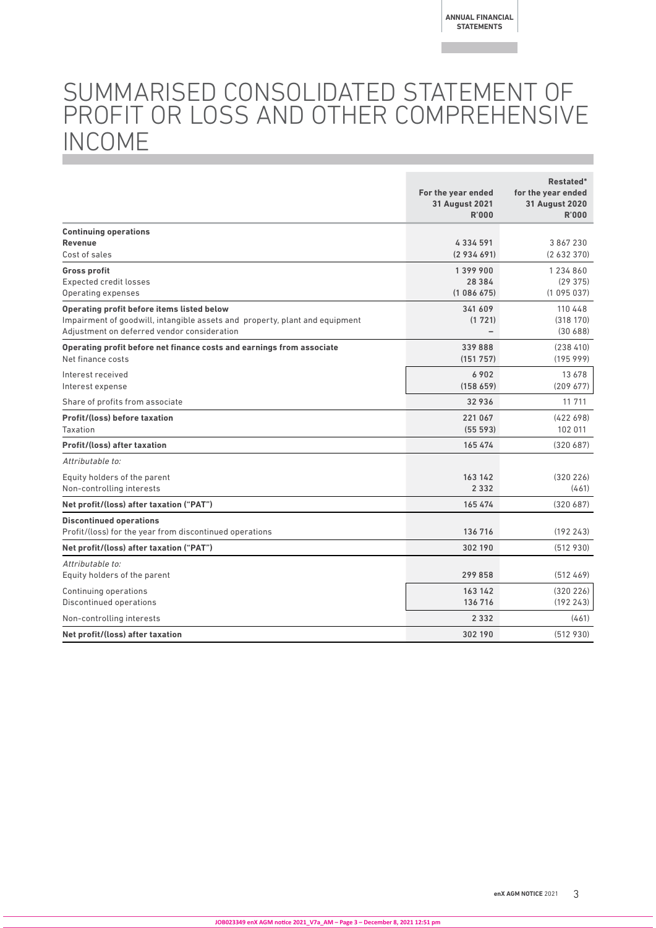## SUMMARISED CONSOLIDATED STATEMENT OF PROFIT OR LOSS AND OTHER COMPREHENSIVE INCOME

|                                                                                                                                                                          | For the year ended<br><b>31 August 2021</b><br><b>R'000</b> | Restated*<br>for the year ended<br><b>31 August 2020</b><br><b>R'000</b> |
|--------------------------------------------------------------------------------------------------------------------------------------------------------------------------|-------------------------------------------------------------|--------------------------------------------------------------------------|
| <b>Continuing operations</b><br><b>Revenue</b><br>Cost of sales                                                                                                          | 4334591<br>(2934691)                                        | 3867230<br>(2632370)                                                     |
| <b>Gross profit</b><br><b>Expected credit losses</b><br>Operating expenses                                                                                               | 1399900<br>28 3 8 4<br>(1086675)                            | 1 234 860<br>(29375)<br>(1095037)                                        |
| Operating profit before items listed below<br>Impairment of goodwill, intangible assets and property, plant and equipment<br>Adjustment on deferred vendor consideration | 341 609<br>(1721)<br>$\overline{\phantom{0}}$               | 110 448<br>(318170)<br>(30688)                                           |
| Operating profit before net finance costs and earnings from associate<br>Net finance costs                                                                               | 339888<br>(151 757)                                         | (238410)<br>(19599)                                                      |
| Interest received<br>Interest expense                                                                                                                                    | 6902<br>(158659)                                            | 13 678<br>(209 677)                                                      |
| Share of profits from associate                                                                                                                                          | 32936                                                       | 11 711                                                                   |
| <b>Profit/(loss) before taxation</b><br>Taxation                                                                                                                         | 221 067<br>(555593)                                         | (422698)<br>102 011                                                      |
| <b>Profit/(loss) after taxation</b>                                                                                                                                      | 165 474                                                     | (320687)                                                                 |
| Attributable to:<br>Equity holders of the parent<br>Non-controlling interests                                                                                            | 163 142<br>2 3 3 2                                          | (320 226)<br>(461)                                                       |
| Net profit/(loss) after taxation ("PAT")                                                                                                                                 | 165 474                                                     | (320687)                                                                 |
| <b>Discontinued operations</b><br>Profit/(loss) for the year from discontinued operations                                                                                | 136 716                                                     | (192243)                                                                 |
| Net profit/(loss) after taxation ("PAT")                                                                                                                                 | 302 190                                                     | (512930)                                                                 |
| Attributable to:<br>Equity holders of the parent                                                                                                                         | 299858                                                      | (512469)                                                                 |
| Continuing operations<br>Discontinued operations                                                                                                                         | 163 142<br>136 716                                          | (320 226)<br>(192 243)                                                   |
| Non-controlling interests                                                                                                                                                | 2 3 3 2                                                     | (461)                                                                    |
| Net profit/(loss) after taxation                                                                                                                                         | 302 190                                                     | (512930)                                                                 |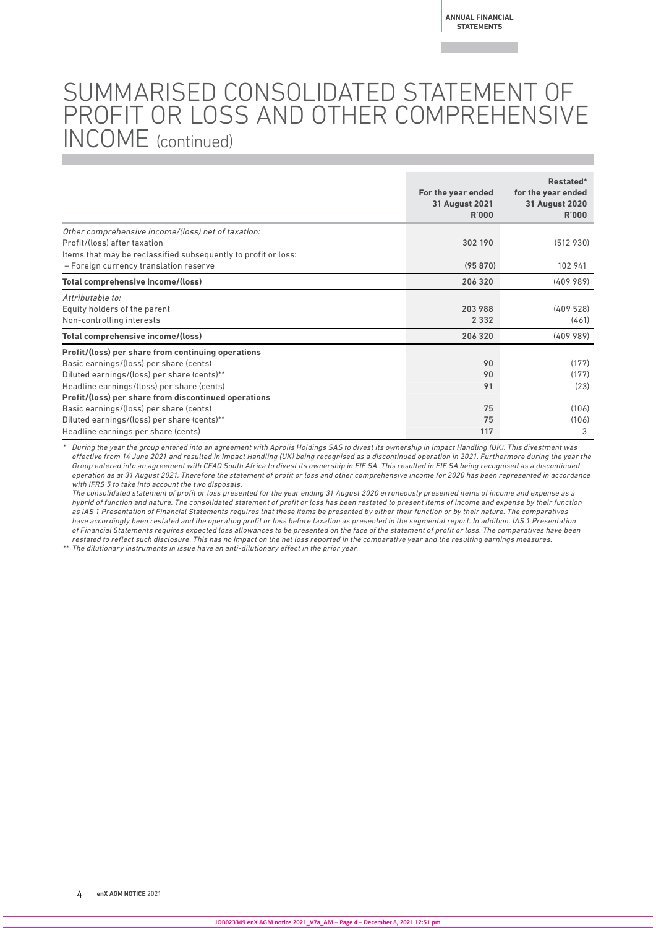## SUMMARISED CONSOLIDATED STATEMENT OF PROFIT OR LOSS AND OTHER COMPREHENSIVE INCOME (continued)

|                                                                | For the year ended<br><b>31 August 2021</b><br>R'000 | Restated*<br>for the year ended<br><b>31 August 2020</b><br><b>R'000</b> |
|----------------------------------------------------------------|------------------------------------------------------|--------------------------------------------------------------------------|
| Other comprehensive income/(loss) net of taxation:             |                                                      |                                                                          |
| Profit/(loss) after taxation                                   | 302 190                                              | (512930)                                                                 |
| Items that may be reclassified subsequently to profit or loss: |                                                      |                                                                          |
| - Foreign currency translation reserve                         | (95870)                                              | 102 941                                                                  |
| Total comprehensive income/(loss)                              | 206 320                                              | (40998)                                                                  |
| Attributable to:                                               |                                                      |                                                                          |
| Equity holders of the parent                                   | 203988                                               | (409528)                                                                 |
| Non-controlling interests                                      | 2 3 3 2                                              | (461)                                                                    |
| Total comprehensive income/(loss)                              | 206 320                                              | (40998)                                                                  |
| Profit/(loss) per share from continuing operations             |                                                      |                                                                          |
| Basic earnings/(loss) per share (cents)                        | 90                                                   | (177)                                                                    |
| Diluted earnings/(loss) per share (cents)**                    | 90                                                   | (177)                                                                    |
| Headline earnings/(loss) per share (cents)                     | 91                                                   | (23)                                                                     |
| Profit/(loss) per share from discontinued operations           |                                                      |                                                                          |
| Basic earnings/(loss) per share (cents)                        | 75                                                   | (106)                                                                    |
| Diluted earnings/(loss) per share (cents)**                    | 75                                                   | (106)                                                                    |
| Headline earnings per share (cents)                            | 117                                                  | 3                                                                        |

\* During the year the group entered into an agreement with Aprolis Holdings SAS to divest its ownership in Impact Handling (UK). This divestment was effective from 14 June 2021 and resulted in Impact Handling (UK) being recognised as a discontinued operation in 2021. Furthermore during the year the Group entered into an agreement with CFAO South Africa to divest its ownership in EIE SA. This resulted in EIE SA being recognised as a discontinued operation as at 31 August 2021. Therefore the statement of profit or loss and other comprehensive income for 2020 has been represented in accordance with IFRS 5 to take into account the two disposals.

The consolidated statement of profit or loss presented for the year ending 31 August 2020 erroneously presented items of income and expense as a hybrid of function and nature. The consolidated statement of profit or loss has been restated to present items of income and expense by their function as IAS 1 Presentation of Financial Statements requires that these items be presented by either their function or by their nature. The comparatives have accordingly been restated and the operating profit or loss before taxation as presented in the segmental report. In addition, IAS 1 Presentation of Financial Statements requires expected loss allowances to be presented on the face of the statement of profit or loss. The comparatives have been restated to reflect such disclosure. This has no impact on the net loss reported in the comparative year and the resulting earnings measures.

\*\* The dilutionary instruments in issue have an anti-dilutionary effect in the prior year.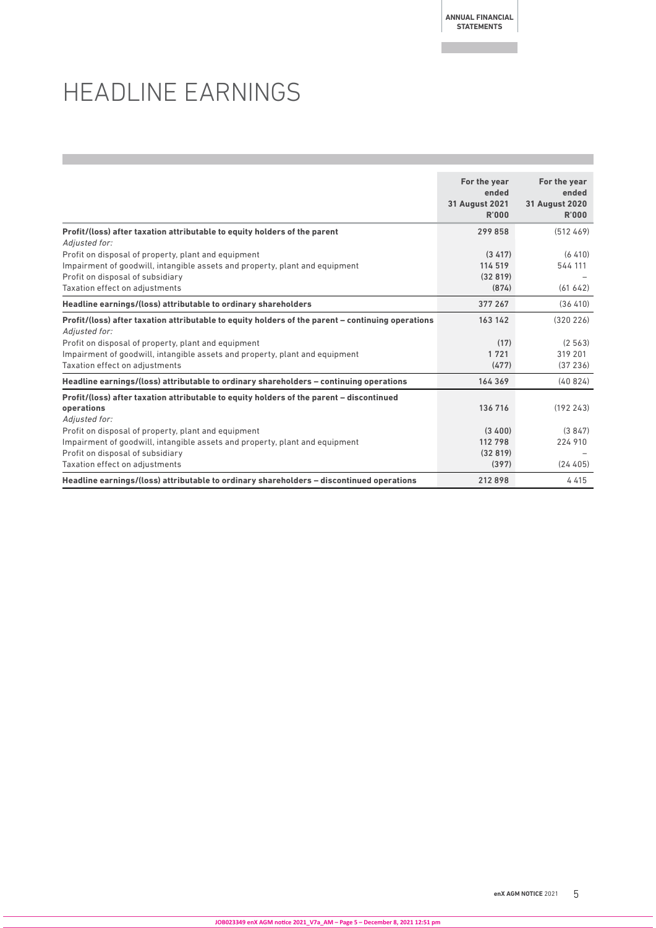**ANNUAL FINANCIAL STATEMENTS**

## HEADLINE EARNINGS

|                                                                                                                         | For the year<br>ended<br><b>31 August 2021</b><br>R'000 | For the year<br>ended<br><b>31 August 2020</b><br><b>R'000</b> |
|-------------------------------------------------------------------------------------------------------------------------|---------------------------------------------------------|----------------------------------------------------------------|
| Profit/(loss) after taxation attributable to equity holders of the parent                                               | 299858                                                  | (512 469)                                                      |
| Adjusted for:<br>Profit on disposal of property, plant and equipment                                                    | (3, 417)                                                | (6, 410)                                                       |
| Impairment of goodwill, intangible assets and property, plant and equipment                                             | 114 519                                                 | 544 111                                                        |
| Profit on disposal of subsidiary                                                                                        | (32819)                                                 |                                                                |
| Taxation effect on adjustments                                                                                          | (874)                                                   | (61642)                                                        |
| Headline earnings/(loss) attributable to ordinary shareholders                                                          | 377 267                                                 | (36, 410)                                                      |
| Profit/(loss) after taxation attributable to equity holders of the parent - continuing operations<br>Adjusted for:      | 163 142                                                 | (320 226)                                                      |
| Profit on disposal of property, plant and equipment                                                                     | (17)                                                    | (2, 563)                                                       |
| Impairment of goodwill, intangible assets and property, plant and equipment                                             | 1721                                                    | 319 201                                                        |
| Taxation effect on adjustments                                                                                          | (477)                                                   | (37236)                                                        |
| Headline earnings/(loss) attributable to ordinary shareholders - continuing operations                                  | 164 369                                                 | (40824)                                                        |
| Profit/(loss) after taxation attributable to equity holders of the parent - discontinued<br>operations<br>Adiusted for: | 136 716                                                 | (192243)                                                       |
| Profit on disposal of property, plant and equipment                                                                     | (3,400)                                                 | (3847)                                                         |
| Impairment of goodwill, intangible assets and property, plant and equipment                                             | 112 798                                                 | 224 910                                                        |
| Profit on disposal of subsidiary                                                                                        | (32819)                                                 |                                                                |
| Taxation effect on adjustments                                                                                          | (397)                                                   | (24405)                                                        |
| Headline earnings/(loss) attributable to ordinary shareholders - discontinued operations                                | 212898                                                  | 4415                                                           |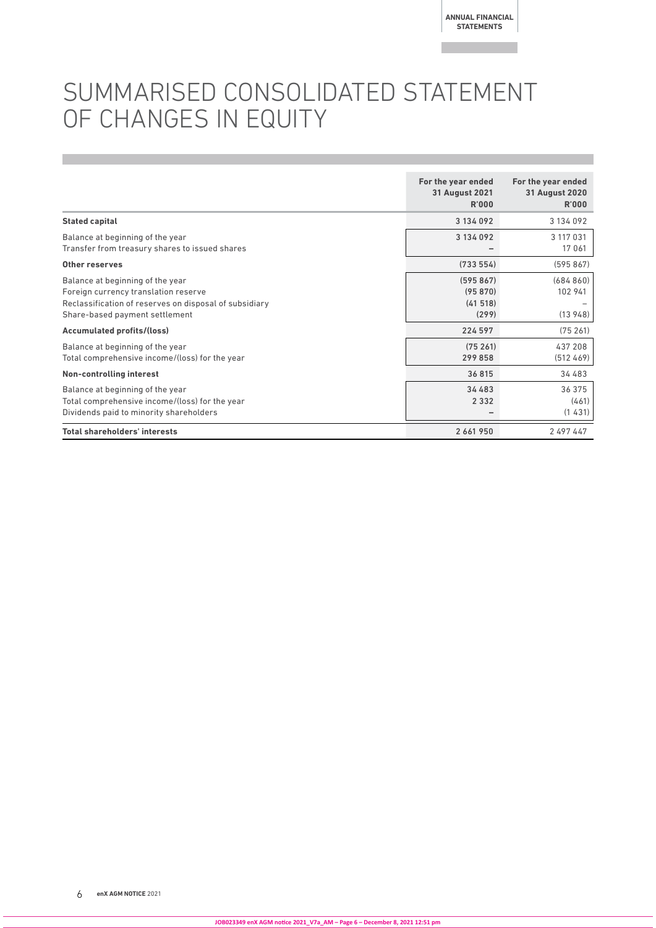## SUMMARISED CONSOLIDATED STATEMENT OF CHANGES IN EQUITY

|                                                                                                                                                                      | For the year ended<br><b>31 August 2021</b><br>R'000 | For the year ended<br><b>31 August 2020</b><br><b>R'000</b> |
|----------------------------------------------------------------------------------------------------------------------------------------------------------------------|------------------------------------------------------|-------------------------------------------------------------|
| <b>Stated capital</b>                                                                                                                                                | 3 134 092                                            | 3 134 092                                                   |
| Balance at beginning of the year<br>Transfer from treasury shares to issued shares                                                                                   | 3 134 092                                            | 3 117 031<br>17 061                                         |
| Other reserves                                                                                                                                                       | (733554)                                             | (595867)                                                    |
| Balance at beginning of the year<br>Foreign currency translation reserve<br>Reclassification of reserves on disposal of subsidiary<br>Share-based payment settlement | (595867)<br>(95870)<br>(41518)<br>(299)              | (684860)<br>102 941<br>(13948)                              |
| <b>Accumulated profits/(loss)</b>                                                                                                                                    | 224 597                                              | (75261)                                                     |
| Balance at beginning of the year<br>Total comprehensive income/(loss) for the year                                                                                   | (75261)<br>299858                                    | 437 208<br>(512 469)                                        |
| Non-controlling interest                                                                                                                                             | 36815                                                | 34 483                                                      |
| Balance at beginning of the year<br>Total comprehensive income/(loss) for the year<br>Dividends paid to minority shareholders                                        | 34 483<br>2 3 3 2                                    | 36 375<br>(461)<br>(1431)                                   |
| <b>Total shareholders' interests</b>                                                                                                                                 | 2 661 950                                            | 2 497 447                                                   |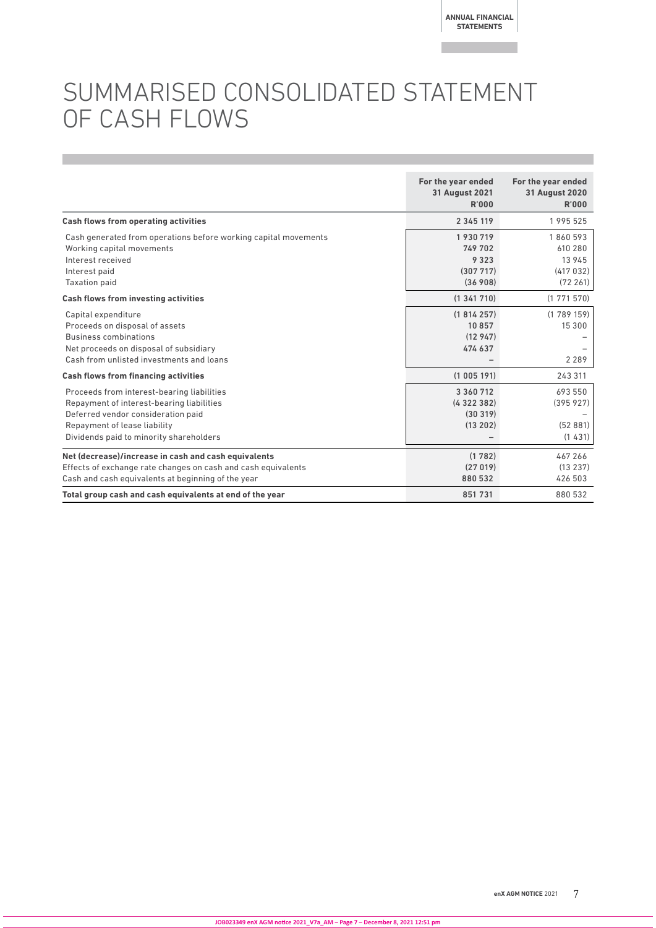## SUMMARISED CONSOLIDATED STATEMENT OF CASH FLOWS

|                                                                                                                                                                                                          | For the year ended<br><b>31 August 2021</b><br><b>R'000</b> | For the year ended<br><b>31 August 2020</b><br>R'000  |
|----------------------------------------------------------------------------------------------------------------------------------------------------------------------------------------------------------|-------------------------------------------------------------|-------------------------------------------------------|
| <b>Cash flows from operating activities</b>                                                                                                                                                              | 2 3 4 5 1 1 9                                               | 1 995 525                                             |
| Cash generated from operations before working capital movements<br>Working capital movements<br>Interest received<br>Interest paid<br><b>Taxation paid</b>                                               | 1930719<br>749 702<br>9 3 2 3<br>(307717)<br>(36908)        | 1860593<br>610 280<br>13 945<br>(417032)<br>(72, 261) |
| <b>Cash flows from investing activities</b>                                                                                                                                                              | (1341710)                                                   | (1771570)                                             |
| Capital expenditure<br>Proceeds on disposal of assets<br><b>Business combinations</b><br>Net proceeds on disposal of subsidiary<br>Cash from unlisted investments and loans                              | (1814257)<br>10857<br>(12947)<br>474 637                    | (1789159)<br>15 300<br>2 2 8 9                        |
| <b>Cash flows from financing activities</b>                                                                                                                                                              | (1005191)                                                   | 243 311                                               |
| Proceeds from interest-bearing liabilities<br>Repayment of interest-bearing liabilities<br>Deferred vendor consideration paid<br>Repayment of lease liability<br>Dividends paid to minority shareholders | 3 3 6 0 7 1 2<br>(4322382)<br>(30319)<br>(13202)            | 693 550<br>(395927)<br>(52881)<br>(1431)              |
| Net (decrease)/increase in cash and cash equivalents<br>Effects of exchange rate changes on cash and cash equivalents<br>Cash and cash equivalents at beginning of the year                              | (1782)<br>(27019)<br>880532                                 | 467 266<br>(13237)<br>426 503                         |
| Total group cash and cash equivalents at end of the year                                                                                                                                                 | 851731                                                      | 880 532                                               |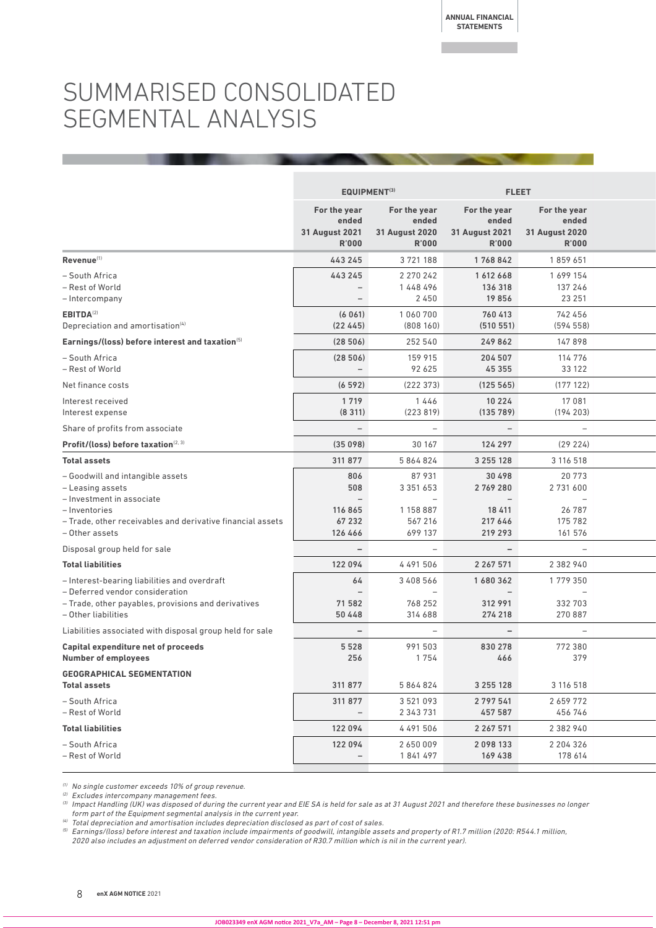## SUMMARISED CONSOLIDATED SEGMENTAL ANALYSIS

|                                                                                                                                                                                    | <b>EQUIPMENT(3)</b>                                                    |                                                                                       | <b>FLEET</b>                                                                  |                                                             |  |
|------------------------------------------------------------------------------------------------------------------------------------------------------------------------------------|------------------------------------------------------------------------|---------------------------------------------------------------------------------------|-------------------------------------------------------------------------------|-------------------------------------------------------------|--|
|                                                                                                                                                                                    | For the year<br>ended<br>31 August 2021<br><b>R'000</b>                | For the year<br>ended<br>31 August 2020<br><b>R'000</b>                               | For the year<br>ended<br>31 August 2021<br><b>R'000</b>                       | For the year<br>ended<br>31 August 2020<br><b>R'000</b>     |  |
| Revenue <sup>(1)</sup>                                                                                                                                                             | 443 245                                                                | 3721188                                                                               | 1768842                                                                       | 1859651                                                     |  |
| - South Africa<br>- Rest of World<br>- Intercompany                                                                                                                                | 443 245<br>$ \,$<br>$\overline{\phantom{a}}$                           | 2 2 7 0 2 4 2<br>1448496<br>2450                                                      | 1612668<br>136 318<br>19856                                                   | 1 699 154<br>137 246<br>23 251                              |  |
| EBITDA <sup>(2)</sup><br>Depreciation and amortisation <sup>(4)</sup>                                                                                                              | (6061)<br>(22445)                                                      | 1 0 6 0 7 0 0<br>(808160)                                                             | 760 413<br>(510 551)                                                          | 742 456<br>(594558)                                         |  |
| Earnings/(loss) before interest and taxation(5)                                                                                                                                    | (28506)                                                                | 252 540                                                                               | 249 862                                                                       | 147898                                                      |  |
| - South Africa<br>- Rest of World                                                                                                                                                  | (28506)<br>$ \,$                                                       | 159 915<br>92 625                                                                     | 204 507<br>45 3 55                                                            | 114 776<br>33 122                                           |  |
| Net finance costs                                                                                                                                                                  | (6592)                                                                 | (222373)                                                                              | (125 565)                                                                     | (177122)                                                    |  |
| Interest received<br>Interest expense                                                                                                                                              | 1 7 1 9<br>(8311)                                                      | 1446<br>(223 819)                                                                     | 10 2 2 4<br>(135 789)                                                         | 17 081<br>(194 203)                                         |  |
| Share of profits from associate                                                                                                                                                    | $\overline{\phantom{a}}$                                               | $-$                                                                                   | $\sim$                                                                        | $-$                                                         |  |
| Profit/(loss) before taxation <sup>(2, 3)</sup>                                                                                                                                    | (35098)                                                                | 30 167                                                                                | 124 297                                                                       | (29 224)                                                    |  |
| <b>Total assets</b>                                                                                                                                                                | 311 877                                                                | 5 864 824                                                                             | 3 2 5 5 1 2 8                                                                 | 3 116 518                                                   |  |
| - Goodwill and intangible assets<br>- Leasing assets<br>- Investment in associate<br>– Inventories<br>- Trade, other receivables and derivative financial assets<br>- Other assets | 806<br>508<br>$\overline{\phantom{a}}$<br>116 865<br>67 232<br>126 466 | 87931<br>3 3 5 1 6 5 3<br>$\overline{\phantom{0}}$<br>1 158 887<br>567 216<br>699 137 | 30 498<br>2769280<br>$\overline{\phantom{a}}$<br>18 411<br>217 646<br>219 293 | 20773<br>2 731 600<br>$-$ 1<br>26 787<br>175 782<br>161 576 |  |
| Disposal group held for sale                                                                                                                                                       | $\overline{\phantom{a}}$                                               | $\overline{\phantom{m}}$                                                              | $\sim$                                                                        | $ \,$                                                       |  |
| <b>Total liabilities</b>                                                                                                                                                           | 122 094                                                                | 4 491 506                                                                             | 2 2 6 7 5 7 1                                                                 | 2 3 8 2 9 4 0                                               |  |
| - Interest-bearing liabilities and overdraft<br>- Deferred vendor consideration<br>- Trade, other payables, provisions and derivatives<br>- Other liabilities                      | 64<br>$\overline{\phantom{m}}$<br>71 582<br>50 4 4 8                   | 3 4 0 8 5 6 6<br>768 252<br>314 688                                                   | 1680362<br>$\overline{\phantom{a}}$<br>312 991<br>274 218                     | 1779350<br>$ \degree$<br>332 703<br>270 887                 |  |
| Liabilities associated with disposal group held for sale                                                                                                                           | $\sim$                                                                 | $ \,$                                                                                 | $\sim$                                                                        | $ \,$                                                       |  |
| <b>Capital expenditure net of proceeds</b><br><b>Number of employees</b>                                                                                                           | 5 5 2 8<br>256                                                         | 991 503<br>1754                                                                       | 830 278<br>466                                                                | 772 380<br>379                                              |  |
| <b>GEOGRAPHICAL SEGMENTATION</b><br><b>Total assets</b>                                                                                                                            | 311 877                                                                | 5 864 824                                                                             | 3 2 5 5 1 2 8                                                                 | 3 116 518                                                   |  |
| - South Africa<br>- Rest of World                                                                                                                                                  | 311 877<br>$ \,$                                                       | 3 521 093<br>2 343 731                                                                | 2 7 9 7 5 4 1<br>457 587                                                      | 2659772<br>456 746                                          |  |
| <b>Total liabilities</b>                                                                                                                                                           | 122 094                                                                | 4 491 506                                                                             | 2 2 6 7 5 7 1                                                                 | 2 3 8 2 9 4 0                                               |  |
| - South Africa<br>- Rest of World                                                                                                                                                  | 122 094<br>$ \,$                                                       | 2650009<br>1841497                                                                    | 2098133<br>169 438                                                            | 2 204 326<br>178 614                                        |  |
|                                                                                                                                                                                    |                                                                        |                                                                                       |                                                                               |                                                             |  |

 $(1)$  No single customer exceeds 10% of group revenue.

<sup>(2)</sup> Excludes intercompany management fees.

(3) Impact Handling (UK) was disposed of during the current year and EIE SA is held for sale as at 31 August 2021 and therefore these businesses no longer form part of the Equipment segmental analysis in the current year.

(4) Total depreciation and amortisation includes depreciation disclosed as part of cost of sales.

(5) Earnings/(loss) before interest and taxation include impairments of goodwill, intangible assets and property of R1.7 million (2020: R544.1 million, 2020 also includes an adjustment on deferred vendor consideration of R30.7 million which is nil in the current year).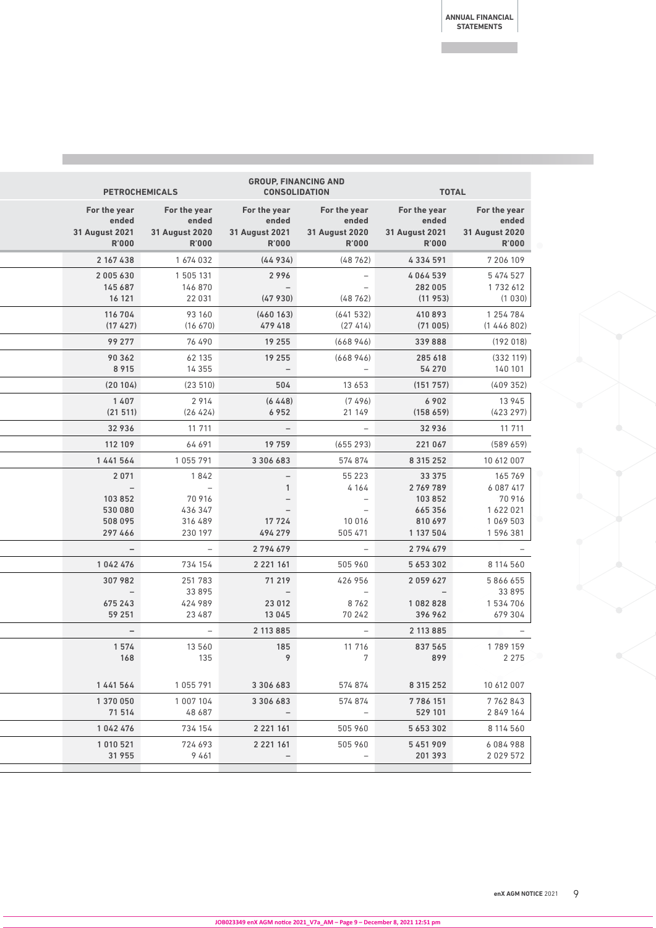| <b>PETROCHEMICALS</b>                                   |                                                         |                                                         | <b>GROUP, FINANCING AND</b><br><b>CONSOLIDATION</b>     | <b>TOTAL</b>                                            |                                                         |
|---------------------------------------------------------|---------------------------------------------------------|---------------------------------------------------------|---------------------------------------------------------|---------------------------------------------------------|---------------------------------------------------------|
| For the year<br>ended<br>31 August 2021<br><b>R'000</b> | For the year<br>ended<br>31 August 2020<br><b>R'000</b> | For the year<br>ended<br>31 August 2021<br><b>R'000</b> | For the year<br>ended<br>31 August 2020<br><b>R'000</b> | For the year<br>ended<br>31 August 2021<br><b>R'000</b> | For the year<br>ended<br>31 August 2020<br><b>R'000</b> |
| 2 167 438                                               | 1674032                                                 | (44934)                                                 | (48762)                                                 | 4334591                                                 | 7 206 109                                               |
| 2 005 630<br>145 687<br>16 121                          | 1 505 131<br>146 870<br>22 031                          | 2996<br>$\sim$ $  \sim$<br>(47930)                      | $\sim$<br>$\overline{\phantom{a}}$<br>(48 762)          | 4064539<br>282 005<br>(11953)                           | 5 474 527<br>1 732 612<br>(1030)                        |
| 116 704<br>(17427)                                      | 93 160<br>(16 670)                                      | (460163)<br>479 418                                     | (641532)<br>(27414)                                     | 410893<br>(71005)                                       | 1 254 784<br>(1446802)                                  |
| 99 277                                                  | 76 490                                                  | 19 255                                                  | (668946)                                                | 339 888                                                 | (192018)                                                |
| 90 362<br>8 9 1 5                                       | 62 135<br>14 3 5 5                                      | 19 255<br>$\sim$                                        | (668946)<br>$\overline{\phantom{a}}$                    | 285 618<br>54 270                                       | (332 119)<br>140 101                                    |
| (20104)                                                 | (23510)                                                 | 504                                                     | 13 6 5 3                                                | (151 757)                                               | (409352)                                                |
| 1407<br>(21511)                                         | 2914<br>(26 424)                                        | (6448)<br>6952                                          | (7496)<br>21 149                                        | 6902<br>(158659)                                        | 13 945<br>(423 297)                                     |
| 32936                                                   | 11 711                                                  | $\sim$ $  \sim$                                         | $\sim$ .                                                | 32936                                                   | 11 711                                                  |
| 112 109                                                 | 64 691                                                  | 19 759                                                  | (655 293)                                               | 221 067                                                 | (589659)                                                |
| 1441564                                                 | 1 055 791                                               | 3 3 0 6 6 8 3                                           | 574 874                                                 | 8 3 1 5 2 5 2                                           | 10 612 007                                              |
| 2071<br>$\sim$                                          | 1842<br>$\sim$ $-$                                      | $ \,$<br>$\overline{1}$                                 | 55 2 2 3<br>4 1 6 4                                     | 33 375<br>2769789                                       | 165 769<br>6 0 8 7 4 1 7                                |
| 103 852                                                 | 70 916                                                  | $-$                                                     | $\overline{\phantom{a}}$                                | 103 852                                                 | 70 916                                                  |
| 530 080                                                 | 436 347                                                 | $\sim$                                                  | $\hspace{0.1cm} -$                                      | 665356                                                  | 1 622 021                                               |
| 508 095<br>297466                                       | 316 489<br>230 197                                      | 17 7 2 4<br>494 279                                     | 10 016<br>505 471                                       | 810 697<br>1 137 504                                    | 1 069 503<br>1 596 381                                  |
| $\sim$                                                  | $\sim$                                                  | 2 7 9 4 6 7 9                                           | $-$                                                     | 2 7 9 4 6 7 9                                           | $\sim$                                                  |
| 1042476                                                 | 734 154                                                 | 2 2 2 1 1 6 1                                           | 505 960                                                 | 5 6 5 3 3 0 2                                           | 8 114 560                                               |
| 307 982                                                 | 251 783                                                 | 71 219                                                  | 426 956                                                 | 2 0 5 9 6 2 7                                           | 5866655                                                 |
| $\sim$                                                  | 33895                                                   | $\sim$ $  \sim$                                         | $\overline{\phantom{a}}$                                | $\sim$                                                  | 33895                                                   |
| 675 243<br>59 251                                       | 424 989<br>23 487                                       | 23 012<br>13045                                         | 8762<br>70 242                                          | 1082828<br>396 962                                      | 1534706<br>679 304                                      |
| $\sim$                                                  | $\sim$                                                  | 2 113 8 8 5                                             | $\sim$                                                  | 2 113 885                                               | $\sim$                                                  |
| 1574                                                    | 13 560                                                  | 185                                                     | 11 716                                                  | 837 565                                                 | 1789159                                                 |
| 168                                                     | 135                                                     | 9                                                       | $7\overline{ }$                                         | 899                                                     | 2 2 7 5                                                 |
| 1441564                                                 | 1 055 791                                               | 3 3 0 6 6 8 3                                           | 574 874                                                 | 8 3 1 5 2 5 2                                           | 10 612 007                                              |
| 1 370 050<br>71 514                                     | 1 007 104<br>48 687                                     | 3 3 0 6 6 8 3<br>$\sim$                                 | 574 874<br>$\overline{\phantom{a}}$                     | 7 786 151<br>529 101                                    | 7762843<br>2849164                                      |
| 1042476                                                 | 734 154                                                 | 2 2 2 1 1 6 1                                           | 505 960                                                 | 5 6 5 3 3 0 2                                           | 8 114 560                                               |
| 1 010 521                                               | 724 693                                                 | 2 2 2 1 1 6 1                                           | 505 960                                                 | 5451909                                                 | 6084988                                                 |
| 31 955                                                  | 9461                                                    | $-$                                                     | $-$                                                     | 201 393                                                 | 2029572                                                 |
|                                                         |                                                         |                                                         |                                                         |                                                         |                                                         |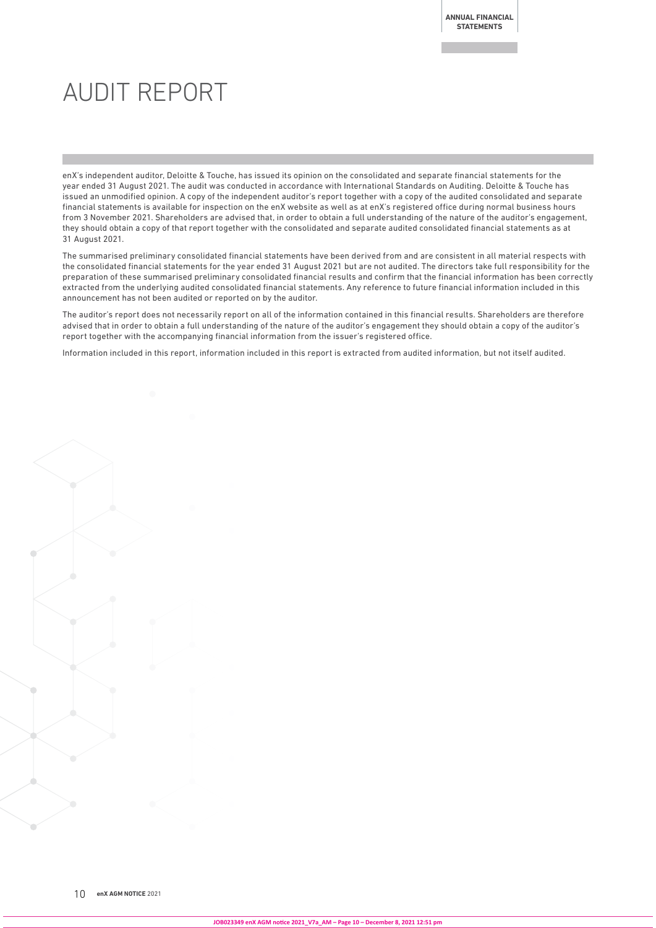## AUDIT REPORT

enX's independent auditor, Deloitte & Touche, has issued its opinion on the consolidated and separate financial statements for the year ended 31 August 2021. The audit was conducted in accordance with International Standards on Auditing. Deloitte & Touche has issued an unmodified opinion. A copy of the independent auditor's report together with a copy of the audited consolidated and separate financial statements is available for inspection on the enX website as well as at enX's registered office during normal business hours from 3 November 2021. Shareholders are advised that, in order to obtain a full understanding of the nature of the auditor's engagement, they should obtain a copy of that report together with the consolidated and separate audited consolidated financial statements as at 31 August 2021.

The summarised preliminary consolidated financial statements have been derived from and are consistent in all material respects with the consolidated financial statements for the year ended 31 August 2021 but are not audited. The directors take full responsibility for the preparation of these summarised preliminary consolidated financial results and confirm that the financial information has been correctly extracted from the underlying audited consolidated financial statements. Any reference to future financial information included in this announcement has not been audited or reported on by the auditor.

The auditor's report does not necessarily report on all of the information contained in this financial results. Shareholders are therefore advised that in order to obtain a full understanding of the nature of the auditor's engagement they should obtain a copy of the auditor's report together with the accompanying financial information from the issuer's registered office.

Information included in this report, information included in this report is extracted from audited information, but not itself audited.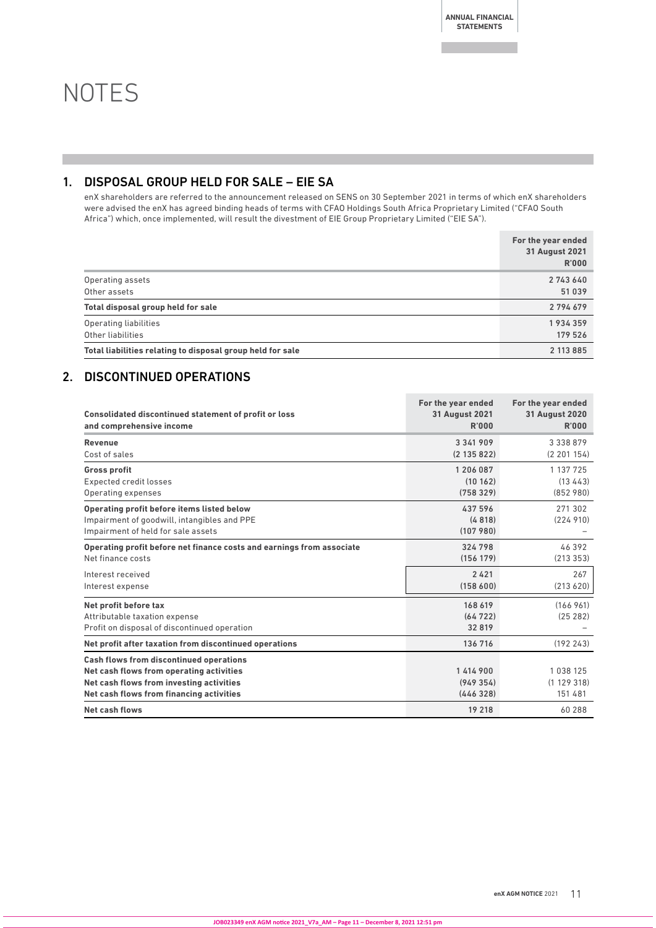**ANNUAL FINANCIAL STATEMENTS**

## **NOTES**

## 1. DISPOSAL GROUP HELD FOR SALE – EIE SA

enX shareholders are referred to the announcement released on SENS on 30 September 2021 in terms of which enX shareholders were advised the enX has agreed binding heads of terms with CFAO Holdings South Africa Proprietary Limited ("CFAO South Africa") which, once implemented, will result the divestment of EIE Group Proprietary Limited ("EIE SA").

|                                                            | For the year ended<br><b>31 August 2021</b><br><b>R'000</b> |
|------------------------------------------------------------|-------------------------------------------------------------|
| Operating assets<br>Other assets                           | 2743640<br>51 039                                           |
| Total disposal group held for sale                         | 2794679                                                     |
| Operating liabilities<br>Other liabilities                 | 1934359<br>179 526                                          |
| Total liabilities relating to disposal group held for sale | 2 113 8 8 5                                                 |

### 2. DISCONTINUED OPERATIONS

| <b>Consolidated discontinued statement of profit or loss</b><br>and comprehensive income | For the year ended<br><b>31 August 2021</b><br>R'000 | For the year ended<br><b>31 August 2020</b><br><b>R'000</b> |
|------------------------------------------------------------------------------------------|------------------------------------------------------|-------------------------------------------------------------|
| Revenue                                                                                  | 3 3 4 1 9 0 9                                        | 3 3 3 8 8 7 9                                               |
| Cost of sales                                                                            | (2135822)                                            | (2201154)                                                   |
| <b>Gross profit</b>                                                                      | 1 206 087                                            | 1 137 725                                                   |
| <b>Expected credit losses</b>                                                            | (10162)                                              | (13, 443)                                                   |
| Operating expenses                                                                       | (758329)                                             | (852, 980)                                                  |
| Operating profit before items listed below                                               | 437 596                                              | 271 302                                                     |
| Impairment of goodwill, intangibles and PPE                                              | (4818)                                               | (224910)                                                    |
| Impairment of held for sale assets                                                       | (107980)                                             |                                                             |
| Operating profit before net finance costs and earnings from associate                    | 324 798                                              | 46392                                                       |
| Net finance costs                                                                        | (156 179)                                            | (213353)                                                    |
| Interest received                                                                        | 2421                                                 | 267                                                         |
| Interest expense                                                                         | (158600)                                             | (213 620)                                                   |
| Net profit before tax                                                                    | 168 619                                              | (166961)                                                    |
| Attributable taxation expense                                                            | (64722)                                              | (25 282)                                                    |
| Profit on disposal of discontinued operation                                             | 32819                                                |                                                             |
| Net profit after taxation from discontinued operations                                   | 136 716                                              | (192243)                                                    |
| <b>Cash flows from discontinued operations</b>                                           |                                                      |                                                             |
| Net cash flows from operating activities                                                 | 1 414 900                                            | 1038125                                                     |
| Net cash flows from investing activities                                                 | (949354)                                             | (1129318)                                                   |
| Net cash flows from financing activities                                                 | (446328)                                             | 151 481                                                     |
| <b>Net cash flows</b>                                                                    | 19 218                                               | 60 288                                                      |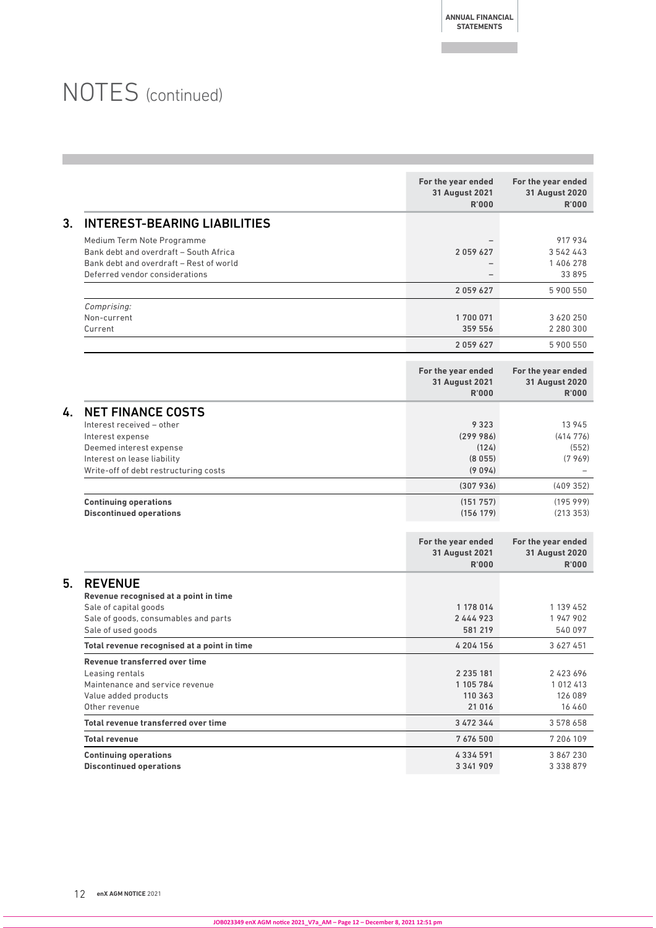**ANNUAL FINANCIAL STATEMENTS**

## NOTES (continued)

|    |                                                                                                                                                                              | For the year ended<br><b>31 August 2021</b><br><b>R'000</b> | For the year ended<br><b>31 August 2020</b><br><b>R'000</b> |
|----|------------------------------------------------------------------------------------------------------------------------------------------------------------------------------|-------------------------------------------------------------|-------------------------------------------------------------|
| 3. | <b>INTEREST-BEARING LIABILITIES</b>                                                                                                                                          |                                                             |                                                             |
|    | Medium Term Note Programme<br>Bank debt and overdraft - South Africa<br>Bank debt and overdraft - Rest of world<br>Deferred vendor considerations                            | 2059627                                                     | 917934<br>3 542 443<br>1 406 278<br>33895                   |
|    |                                                                                                                                                                              | 2059627                                                     | 5 900 550                                                   |
|    | Comprising:<br>Non-current<br>Current                                                                                                                                        | 1700071<br>359 556                                          | 3 620 250<br>2 2 8 0 3 0 0                                  |
|    |                                                                                                                                                                              | 2059627                                                     | 5 900 550                                                   |
|    |                                                                                                                                                                              | For the year ended<br><b>31 August 2021</b><br><b>R'000</b> | For the year ended<br><b>31 August 2020</b><br>R'000        |
| 4. | <b>NET FINANCE COSTS</b><br>Interest received - other<br>Interest expense<br>Deemed interest expense<br>Interest on lease liability<br>Write-off of debt restructuring costs | 9 3 2 3<br>(299986)<br>(124)<br>(8055)<br>(9094)            | 13 945<br>(414776)<br>(552)<br>(7969)                       |
|    |                                                                                                                                                                              | (307936)                                                    | (409352)                                                    |
|    | <b>Continuing operations</b><br><b>Discontinued operations</b>                                                                                                               | (151757)<br>(156 179)                                       | (19599)<br>(213353)                                         |
|    |                                                                                                                                                                              | For the year ended<br><b>31 August 2021</b><br><b>R'000</b> | For the year ended<br><b>31 August 2020</b><br>R'000        |
| 5. | <b>REVENUE</b><br>Revenue recognised at a point in time<br>Sale of capital goods<br>Sale of goods, consumables and parts<br>Sale of used goods                               | 1 178 014<br>2444923<br>581 219                             | 1 139 452<br>1947902<br>540 097                             |
|    | Total revenue recognised at a point in time                                                                                                                                  | 4 204 156                                                   | 3 6 2 7 4 5 1                                               |
|    | Revenue transferred over time<br>Leasing rentals<br>Maintenance and service revenue<br>Value added products<br>Other revenue                                                 | 2 2 3 5 1 8 1<br>1 105 784<br>110 363<br>21 016             | 2423696<br>1 012 413<br>126 089<br>16 460                   |
|    | Total revenue transferred over time                                                                                                                                          | 3 472 344                                                   | 3 578 658                                                   |
|    | <b>Total revenue</b>                                                                                                                                                         | 7 676 500                                                   | 7 206 109                                                   |
|    | <b>Continuing operations</b><br><b>Discontinued operations</b>                                                                                                               | 4334591<br>3 3 4 1 9 0 9                                    | 3 867 230<br>3 3 3 8 8 7 9                                  |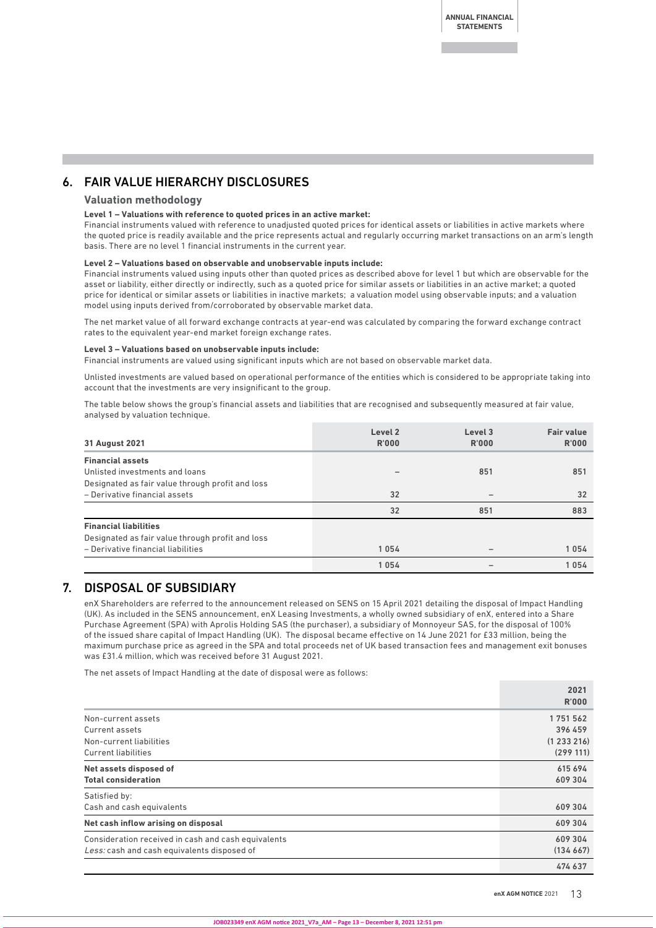### 6. FAIR VALUE HIERARCHY DISCLOSURES

#### **Valuation methodology**

#### **Level 1 – Valuations with reference to quoted prices in an active market:**

Financial instruments valued with reference to unadjusted quoted prices for identical assets or liabilities in active markets where the quoted price is readily available and the price represents actual and regularly occurring market transactions on an arm's length basis. There are no level 1 financial instruments in the current year.

#### **Level 2 – Valuations based on observable and unobservable inputs include:**

Financial instruments valued using inputs other than quoted prices as described above for level 1 but which are observable for the asset or liability, either directly or indirectly, such as a quoted price for similar assets or liabilities in an active market; a quoted price for identical or similar assets or liabilities in inactive markets; a valuation model using observable inputs; and a valuation model using inputs derived from/corroborated by observable market data.

The net market value of all forward exchange contracts at year-end was calculated by comparing the forward exchange contract rates to the equivalent year-end market foreign exchange rates.

#### **Level 3 – Valuations based on unobservable inputs include:**

Financial instruments are valued using significant inputs which are not based on observable market data.

Unlisted investments are valued based on operational performance of the entities which is considered to be appropriate taking into account that the investments are very insignificant to the group.

The table below shows the group's financial assets and liabilities that are recognised and subsequently measured at fair value, analysed by valuation technique.

| 31 August 2021                                   | Level <sub>2</sub><br><b>R'000</b> | Level 3<br>R'000 | <b>Fair value</b><br>R'000 |
|--------------------------------------------------|------------------------------------|------------------|----------------------------|
| <b>Financial assets</b>                          |                                    |                  |                            |
| Unlisted investments and loans                   |                                    | 851              | 851                        |
| Designated as fair value through profit and loss |                                    |                  |                            |
| - Derivative financial assets                    | 32                                 |                  | 32                         |
|                                                  | 32                                 | 851              | 883                        |
| <b>Financial liabilities</b>                     |                                    |                  |                            |
| Designated as fair value through profit and loss |                                    |                  |                            |
| - Derivative financial liabilities               | 1054                               |                  | 1054                       |
|                                                  | 1054                               |                  | 1054                       |

### 7. DISPOSAL OF SUBSIDIARY

enX Shareholders are referred to the announcement released on SENS on 15 April 2021 detailing the disposal of Impact Handling (UK). As included in the SENS announcement, enX Leasing Investments, a wholly owned subsidiary of enX, entered into a Share Purchase Agreement (SPA) with Aprolis Holding SAS (the purchaser), a subsidiary of Monnoyeur SAS, for the disposal of 100% of the issued share capital of Impact Handling (UK). The disposal became effective on 14 June 2021 for £33 million, being the maximum purchase price as agreed in the SPA and total proceeds net of UK based transaction fees and management exit bonuses was £31.4 million, which was received before 31 August 2021.

The net assets of Impact Handling at the date of disposal were as follows:

|                                                     | 2021<br><b>R'000</b> |
|-----------------------------------------------------|----------------------|
| Non-current assets                                  | 1751562              |
| Current assets                                      | 396 459              |
| Non-current liabilities                             | (1233216)            |
| <b>Current liabilities</b>                          | (299111)             |
| Net assets disposed of                              | 615 694              |
| <b>Total consideration</b>                          | 609 304              |
| Satisfied by:                                       |                      |
| Cash and cash equivalents                           | 609 304              |
| Net cash inflow arising on disposal                 | 609 304              |
| Consideration received in cash and cash equivalents | 609 304              |
| Less: cash and cash equivalents disposed of         | (134667)             |
|                                                     | 474 637              |

**enX AGM NOTICE 2021 13**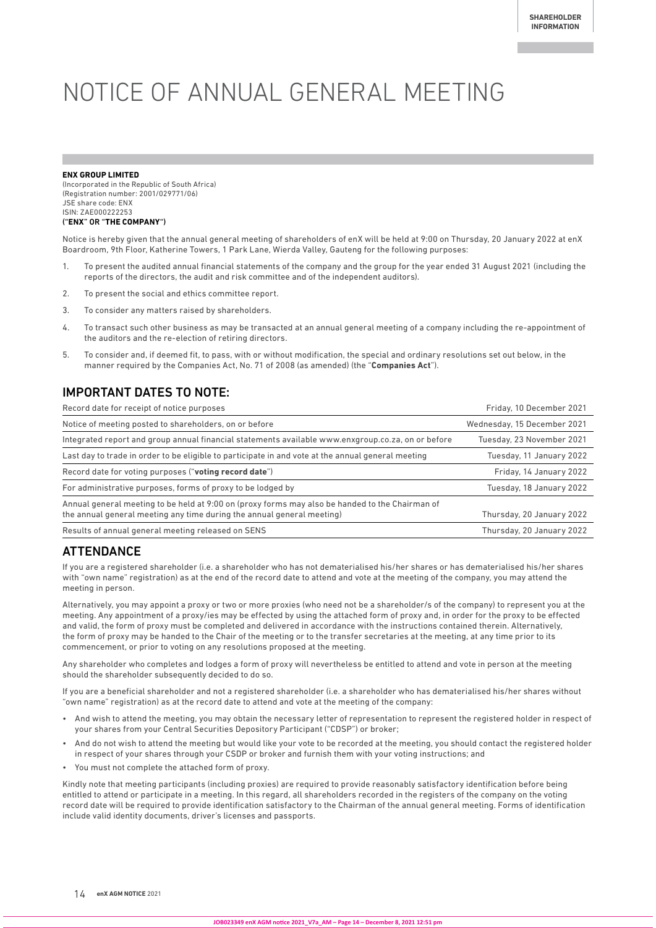# NOTICE OF ANNUAL GENERAL MEETING

#### **ENX GROUP LIMITED**

(Incorporated in the Republic of South Africa) (Registration number: 2001/029771/06) JSE share code: ENX ISIN: ZAE000222253 ("**ENX**" OR "**THE COMPANY**")

Notice is hereby given that the annual general meeting of shareholders of enX will be held at 9:00 on Thursday, 20 January 2022 at enX Boardroom, 9th Floor, Katherine Towers, 1 Park Lane, Wierda Valley, Gauteng for the following purposes:

- 1. To present the audited annual financial statements of the company and the group for the year ended 31 August 2021 (including the reports of the directors, the audit and risk committee and of the independent auditors).
- 2. To present the social and ethics committee report.
- 3. To consider any matters raised by shareholders.
- 4. To transact such other business as may be transacted at an annual general meeting of a company including the re-appointment of the auditors and the re-election of retiring directors.
- 5. To consider and, if deemed fit, to pass, with or without modification, the special and ordinary resolutions set out below, in the manner required by the Companies Act, No. 71 of 2008 (as amended) (the "**Companies Act**").

### IMPORTANT DATES TO NOTE:

| Record date for receipt of notice purposes                                                                                                                                | Friday, 10 December 2021    |
|---------------------------------------------------------------------------------------------------------------------------------------------------------------------------|-----------------------------|
| Notice of meeting posted to shareholders, on or before                                                                                                                    | Wednesday, 15 December 2021 |
| Integrated report and group annual financial statements available www.enxgroup.co.za, on or before                                                                        | Tuesday, 23 November 2021   |
| Last day to trade in order to be eligible to participate in and vote at the annual general meeting                                                                        | Tuesday, 11 January 2022    |
| Record date for voting purposes ("voting record date")                                                                                                                    | Friday, 14 January 2022     |
| For administrative purposes, forms of proxy to be lodged by                                                                                                               | Tuesday, 18 January 2022    |
| Annual general meeting to be held at 9:00 on (proxy forms may also be handed to the Chairman of<br>the annual general meeting any time during the annual general meeting) | Thursday, 20 January 2022   |
| Results of annual general meeting released on SENS                                                                                                                        | Thursday, 20 January 2022   |

### ATTENDANCE

If you are a registered shareholder (i.e. a shareholder who has not dematerialised his/her shares or has dematerialised his/her shares with "own name" registration) as at the end of the record date to attend and vote at the meeting of the company, you may attend the meeting in person.

Alternatively, you may appoint a proxy or two or more proxies (who need not be a shareholder/s of the company) to represent you at the meeting. Any appointment of a proxy/ies may be effected by using the attached form of proxy and, in order for the proxy to be effected and valid, the form of proxy must be completed and delivered in accordance with the instructions contained therein. Alternatively, the form of proxy may be handed to the Chair of the meeting or to the transfer secretaries at the meeting, at any time prior to its commencement, or prior to voting on any resolutions proposed at the meeting.

Any shareholder who completes and lodges a form of proxy will nevertheless be entitled to attend and vote in person at the meeting should the shareholder subsequently decided to do so.

If you are a beneficial shareholder and not a registered shareholder (i.e. a shareholder who has dematerialised his/her shares without "own name" registration) as at the record date to attend and vote at the meeting of the company:

- And wish to attend the meeting, you may obtain the necessary letter of representation to represent the registered holder in respect of your shares from your Central Securities Depository Participant ("CDSP") or broker;
- And do not wish to attend the meeting but would like your vote to be recorded at the meeting, you should contact the registered holder in respect of your shares through your CSDP or broker and furnish them with your voting instructions; and
- You must not complete the attached form of proxy.

Kindly note that meeting participants (including proxies) are required to provide reasonably satisfactory identification before being entitled to attend or participate in a meeting. In this regard, all shareholders recorded in the registers of the company on the voting record date will be required to provide identification satisfactory to the Chairman of the annual general meeting. Forms of identification include valid identity documents, driver's licenses and passports.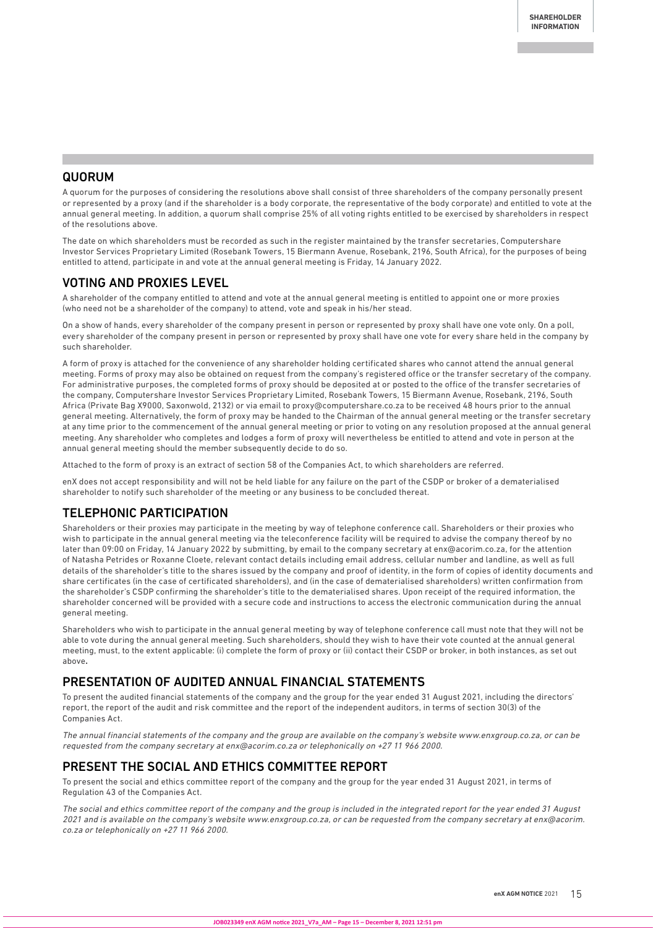### **QUORUM**

A quorum for the purposes of considering the resolutions above shall consist of three shareholders of the company personally present or represented by a proxy (and if the shareholder is a body corporate, the representative of the body corporate) and entitled to vote at the annual general meeting. In addition, a quorum shall comprise 25% of all voting rights entitled to be exercised by shareholders in respect of the resolutions above.

The date on which shareholders must be recorded as such in the register maintained by the transfer secretaries, Computershare Investor Services Proprietary Limited (Rosebank Towers, 15 Biermann Avenue, Rosebank, 2196, South Africa), for the purposes of being entitled to attend, participate in and vote at the annual general meeting is Friday, 14 January 2022.

### VOTING AND PROXIES LEVEL

A shareholder of the company entitled to attend and vote at the annual general meeting is entitled to appoint one or more proxies (who need not be a shareholder of the company) to attend, vote and speak in his/her stead.

On a show of hands, every shareholder of the company present in person or represented by proxy shall have one vote only. On a poll, every shareholder of the company present in person or represented by proxy shall have one vote for every share held in the company by such shareholder.

A form of proxy is attached for the convenience of any shareholder holding certificated shares who cannot attend the annual general meeting. Forms of proxy may also be obtained on request from the company's registered office or the transfer secretary of the company. For administrative purposes, the completed forms of proxy should be deposited at or posted to the office of the transfer secretaries of the company, Computershare Investor Services Proprietary Limited, Rosebank Towers, 15 Biermann Avenue, Rosebank, 2196, South Africa (Private Bag X9000, Saxonwold, 2132) or via email to proxy@computershare.co.za to be received 48 hours prior to the annual general meeting. Alternatively, the form of proxy may be handed to the Chairman of the annual general meeting or the transfer secretary at any time prior to the commencement of the annual general meeting or prior to voting on any resolution proposed at the annual general meeting. Any shareholder who completes and lodges a form of proxy will nevertheless be entitled to attend and vote in person at the annual general meeting should the member subsequently decide to do so.

Attached to the form of proxy is an extract of section 58 of the Companies Act, to which shareholders are referred.

enX does not accept responsibility and will not be held liable for any failure on the part of the CSDP or broker of a dematerialised shareholder to notify such shareholder of the meeting or any business to be concluded thereat.

### TELEPHONIC PARTICIPATION

Shareholders or their proxies may participate in the meeting by way of telephone conference call. Shareholders or their proxies who wish to participate in the annual general meeting via the teleconference facility will be required to advise the company thereof by no later than 09:00 on Friday, 14 January 2022 by submitting, by email to the company secretary at enx@acorim.co.za, for the attention of Natasha Petrides or Roxanne Cloete, relevant contact details including email address, cellular number and landline, as well as full details of the shareholder's title to the shares issued by the company and proof of identity, in the form of copies of identity documents and share certificates (in the case of certificated shareholders), and (in the case of dematerialised shareholders) written confirmation from the shareholder's CSDP confirming the shareholder's title to the dematerialised shares. Upon receipt of the required information, the shareholder concerned will be provided with a secure code and instructions to access the electronic communication during the annual general meeting.

Shareholders who wish to participate in the annual general meeting by way of telephone conference call must note that they will not be able to vote during the annual general meeting. Such shareholders, should they wish to have their vote counted at the annual general meeting, must, to the extent applicable: (i) complete the form of proxy or (ii) contact their CSDP or broker, in both instances, as set out above**.**

### PRESENTATION OF AUDITED ANNUAL FINANCIAL STATEMENTS

To present the audited financial statements of the company and the group for the year ended 31 August 2021, including the directors' report, the report of the audit and risk committee and the report of the independent auditors, in terms of section 30(3) of the Companies Act.

The annual financial statements of the company and the group are available on the company's website www.enxgroup.co.za, or can be requested from the company secretary at enx@acorim.co.za or telephonically on +27 11 966 2000.

## PRESENT THE SOCIAL AND ETHICS COMMITTEE REPORT

To present the social and ethics committee report of the company and the group for the year ended 31 August 2021, in terms of Regulation 43 of the Companies Act.

The social and ethics committee report of the company and the group is included in the integrated report for the year ended 31 August 2021 and is available on the company's website www.enxgroup.co.za, or can be requested from the company secretary at enx@acorim. co.za or telephonically on +27 11 966 2000.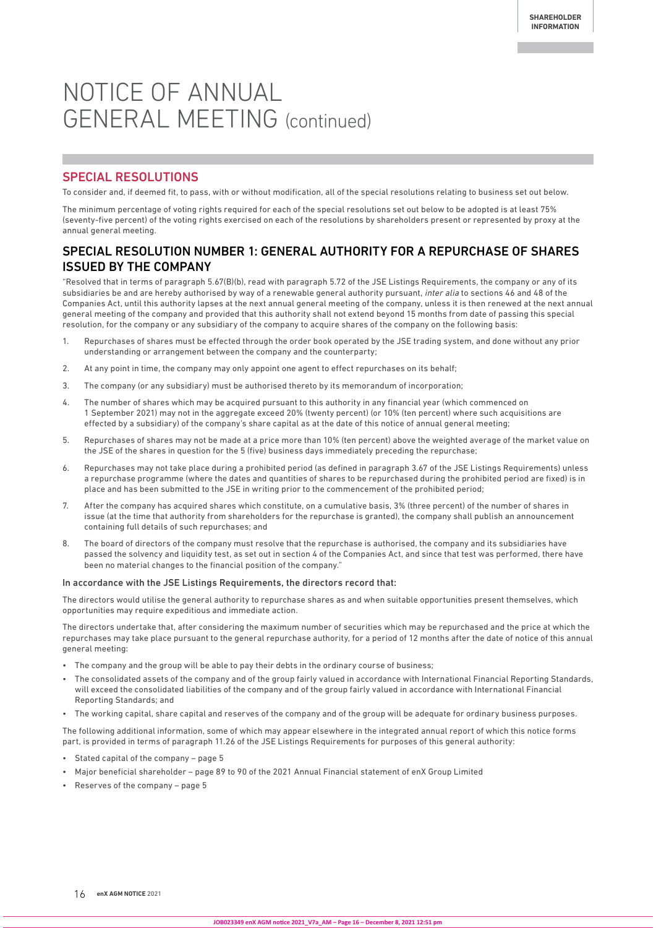## NOTICE OF ANNUAL GENERAL MEETING (continued)

### SPECIAL RESOLUTIONS

To consider and, if deemed fit, to pass, with or without modification, all of the special resolutions relating to business set out below.

The minimum percentage of voting rights required for each of the special resolutions set out below to be adopted is at least 75% (seventy-five percent) of the voting rights exercised on each of the resolutions by shareholders present or represented by proxy at the annual general meeting.

### SPECIAL RESOLUTION NUMBER 1: GENERAL AUTHORITY FOR A REPURCHASE OF SHARES ISSUED BY THE COMPANY

"Resolved that in terms of paragraph 5.67(B)(b), read with paragraph 5.72 of the JSE Listings Requirements, the company or any of its subsidiaries be and are hereby authorised by way of a renewable general authority pursuant, inter alia to sections 46 and 48 of the Companies Act, until this authority lapses at the next annual general meeting of the company, unless it is then renewed at the next annual general meeting of the company and provided that this authority shall not extend beyond 15 months from date of passing this special resolution, for the company or any subsidiary of the company to acquire shares of the company on the following basis:

- 1. Repurchases of shares must be effected through the order book operated by the JSE trading system, and done without any prior understanding or arrangement between the company and the counterparty;
- 2. At any point in time, the company may only appoint one agent to effect repurchases on its behalf;
- 3. The company (or any subsidiary) must be authorised thereto by its memorandum of incorporation;
- 4. The number of shares which may be acquired pursuant to this authority in any financial year (which commenced on 1 September 2021) may not in the aggregate exceed 20% (twenty percent) (or 10% (ten percent) where such acquisitions are effected by a subsidiary) of the company's share capital as at the date of this notice of annual general meeting;
- 5. Repurchases of shares may not be made at a price more than 10% (ten percent) above the weighted average of the market value on the JSE of the shares in question for the 5 (five) business days immediately preceding the repurchase;
- 6. Repurchases may not take place during a prohibited period (as defined in paragraph 3.67 of the JSE Listings Requirements) unless a repurchase programme (where the dates and quantities of shares to be repurchased during the prohibited period are fixed) is in place and has been submitted to the JSE in writing prior to the commencement of the prohibited period;
- 7. After the company has acquired shares which constitute, on a cumulative basis, 3% (three percent) of the number of shares in issue (at the time that authority from shareholders for the repurchase is granted), the company shall publish an announcement containing full details of such repurchases; and
- 8. The board of directors of the company must resolve that the repurchase is authorised, the company and its subsidiaries have passed the solvency and liquidity test, as set out in section 4 of the Companies Act, and since that test was performed, there have been no material changes to the financial position of the company."

#### In accordance with the JSE Listings Requirements, the directors record that:

The directors would utilise the general authority to repurchase shares as and when suitable opportunities present themselves, which opportunities may require expeditious and immediate action.

The directors undertake that, after considering the maximum number of securities which may be repurchased and the price at which the repurchases may take place pursuant to the general repurchase authority, for a period of 12 months after the date of notice of this annual general meeting:

- The company and the group will be able to pay their debts in the ordinary course of business;
- The consolidated assets of the company and of the group fairly valued in accordance with International Financial Reporting Standards, will exceed the consolidated liabilities of the company and of the group fairly valued in accordance with International Financial Reporting Standards; and
- The working capital, share capital and reserves of the company and of the group will be adequate for ordinary business purposes.

The following additional information, some of which may appear elsewhere in the integrated annual report of which this notice forms part, is provided in terms of paragraph 11.26 of the JSE Listings Requirements for purposes of this general authority:

- Stated capital of the company page 5
- Major beneficial shareholder page 89 to 90 of the 2021 Annual Financial statement of enX Group Limited
- Reserves of the company page 5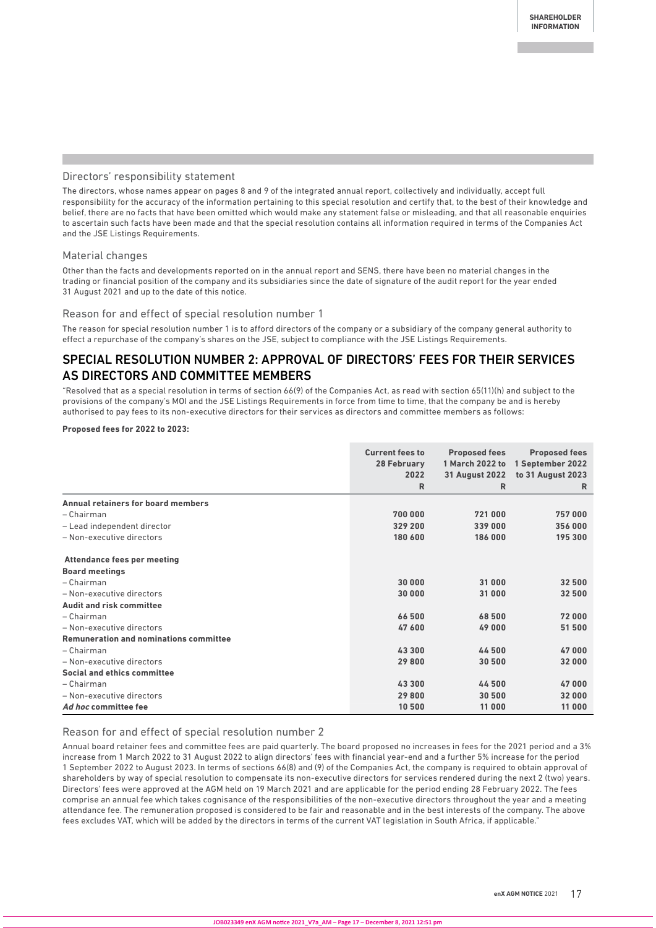#### Directors' responsibility statement

The directors, whose names appear on pages 8 and 9 of the integrated annual report, collectively and individually, accept full responsibility for the accuracy of the information pertaining to this special resolution and certify that, to the best of their knowledge and belief, there are no facts that have been omitted which would make any statement false or misleading, and that all reasonable enquiries to ascertain such facts have been made and that the special resolution contains all information required in terms of the Companies Act and the JSE Listings Requirements.

#### Material changes

Other than the facts and developments reported on in the annual report and SENS, there have been no material changes in the trading or financial position of the company and its subsidiaries since the date of signature of the audit report for the year ended 31 August 2021 and up to the date of this notice.

#### Reason for and effect of special resolution number 1

The reason for special resolution number 1 is to afford directors of the company or a subsidiary of the company general authority to effect a repurchase of the company's shares on the JSE, subject to compliance with the JSE Listings Requirements.

## SPECIAL RESOLUTION NUMBER 2: APPROVAL OF DIRECTORS' FEES FOR THEIR SERVICES AS DIRECTORS AND COMMITTEE MEMBERS

"Resolved that as a special resolution in terms of section 66(9) of the Companies Act, as read with section 65(11)(h) and subject to the provisions of the company's MOI and the JSE Listings Requirements in force from time to time, that the company be and is hereby authorised to pay fees to its non-executive directors for their services as directors and committee members as follows:

#### **Proposed fees for 2022 to 2023:**

|                                               | <b>Current fees to</b><br>28 February<br>2022<br>R | <b>Proposed fees</b><br>1 March 2022 to<br><b>31 August 2022</b><br>$\mathsf{R}$ | <b>Proposed fees</b><br>1 September 2022<br>to 31 August 2023<br>R |
|-----------------------------------------------|----------------------------------------------------|----------------------------------------------------------------------------------|--------------------------------------------------------------------|
| Annual retainers for board members            |                                                    |                                                                                  |                                                                    |
| - Chairman                                    | 700 000                                            | 721 000                                                                          | 757000                                                             |
| - Lead independent director                   | 329 200                                            | 339 000                                                                          | 356 000                                                            |
| - Non-executive directors                     | 180 600                                            | 186 000                                                                          | 195 300                                                            |
| <b>Attendance fees per meeting</b>            |                                                    |                                                                                  |                                                                    |
| <b>Board meetings</b>                         |                                                    |                                                                                  |                                                                    |
| - Chairman                                    | 30 000                                             | 31 000                                                                           | 32 500                                                             |
| - Non-executive directors                     | 30 000                                             | 31 000                                                                           | 32 500                                                             |
| <b>Audit and risk committee</b>               |                                                    |                                                                                  |                                                                    |
| - Chairman                                    | 66 500                                             | 68500                                                                            | 72000                                                              |
| - Non-executive directors                     | 47 600                                             | 49000                                                                            | 51 500                                                             |
| <b>Remuneration and nominations committee</b> |                                                    |                                                                                  |                                                                    |
| - Chairman                                    | 43 300                                             | 44500                                                                            | 47000                                                              |
| - Non-executive directors                     | 29 800                                             | 30 500                                                                           | 32 000                                                             |
| Social and ethics committee                   |                                                    |                                                                                  |                                                                    |
| - Chairman                                    | 43 300                                             | 44500                                                                            | 47000                                                              |
| - Non-executive directors                     | 29 800                                             | 30 500                                                                           | 32 000                                                             |
| Ad hoc committee fee                          | 10 500                                             | 11 000                                                                           | 11 000                                                             |

#### Reason for and effect of special resolution number 2

Annual board retainer fees and committee fees are paid quarterly. The board proposed no increases in fees for the 2021 period and a 3% increase from 1 March 2022 to 31 August 2022 to align directors' fees with financial year-end and a further 5% increase for the period 1 September 2022 to August 2023. In terms of sections 66(8) and (9) of the Companies Act, the company is required to obtain approval of shareholders by way of special resolution to compensate its non-executive directors for services rendered during the next 2 (two) years. Directors' fees were approved at the AGM held on 19 March 2021 and are applicable for the period ending 28 February 2022. The fees comprise an annual fee which takes cognisance of the responsibilities of the non-executive directors throughout the year and a meeting attendance fee. The remuneration proposed is considered to be fair and reasonable and in the best interests of the company. The above fees excludes VAT, which will be added by the directors in terms of the current VAT legislation in South Africa, if applicable."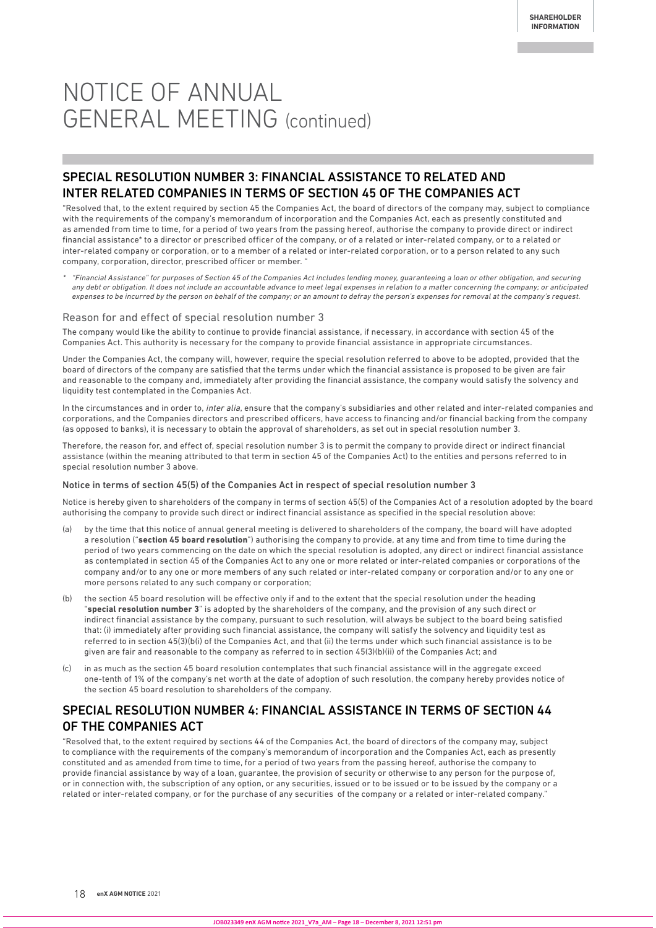## NOTICE OF ANNUAL GENERAL MEETING (continued)

## SPECIAL RESOLUTION NUMBER 3: FINANCIAL ASSISTANCE TO RELATED AND INTER RELATED COMPANIES IN TERMS OF SECTION 45 OF THE COMPANIES ACT

"Resolved that, to the extent required by section 45 the Companies Act, the board of directors of the company may, subject to compliance with the requirements of the company's memorandum of incorporation and the Companies Act, each as presently constituted and as amended from time to time, for a period of two years from the passing hereof, authorise the company to provide direct or indirect financial assistance\* to a director or prescribed officer of the company, or of a related or inter-related company, or to a related or inter-related company or corporation, or to a member of a related or inter-related corporation, or to a person related to any such company, corporation, director, prescribed officer or member. "

\* "Financial Assistance" for purposes of Section 45 of the Companies Act includes lending money, guaranteeing a loan or other obligation, and securing any debt or obligation. It does not include an accountable advance to meet legal expenses in relation to a matter concerning the company; or anticipated expenses to be incurred by the person on behalf of the company; or an amount to defray the person's expenses for removal at the company's request.

#### Reason for and effect of special resolution number 3

The company would like the ability to continue to provide financial assistance, if necessary, in accordance with section 45 of the Companies Act. This authority is necessary for the company to provide financial assistance in appropriate circumstances.

Under the Companies Act, the company will, however, require the special resolution referred to above to be adopted, provided that the board of directors of the company are satisfied that the terms under which the financial assistance is proposed to be given are fair and reasonable to the company and, immediately after providing the financial assistance, the company would satisfy the solvency and liquidity test contemplated in the Companies Act.

In the circumstances and in order to, inter alia, ensure that the company's subsidiaries and other related and inter-related companies and corporations, and the Companies directors and prescribed officers, have access to financing and/or financial backing from the company (as opposed to banks), it is necessary to obtain the approval of shareholders, as set out in special resolution number 3.

Therefore, the reason for, and effect of, special resolution number 3 is to permit the company to provide direct or indirect financial assistance (within the meaning attributed to that term in section 45 of the Companies Act) to the entities and persons referred to in special resolution number 3 above.

#### Notice in terms of section 45(5) of the Companies Act in respect of special resolution number 3

Notice is hereby given to shareholders of the company in terms of section 45(5) of the Companies Act of a resolution adopted by the board authorising the company to provide such direct or indirect financial assistance as specified in the special resolution above:

- (a) by the time that this notice of annual general meeting is delivered to shareholders of the company, the board will have adopted a resolution ("**section 45 board resolution**") authorising the company to provide, at any time and from time to time during the period of two years commencing on the date on which the special resolution is adopted, any direct or indirect financial assistance as contemplated in section 45 of the Companies Act to any one or more related or inter-related companies or corporations of the company and/or to any one or more members of any such related or inter-related company or corporation and/or to any one or more persons related to any such company or corporation;
- (b) the section 45 board resolution will be effective only if and to the extent that the special resolution under the heading "**special resolution number 3**" is adopted by the shareholders of the company, and the provision of any such direct or indirect financial assistance by the company, pursuant to such resolution, will always be subject to the board being satisfied that: (i) immediately after providing such financial assistance, the company will satisfy the solvency and liquidity test as referred to in section 45(3)(b(i) of the Companies Act, and that (ii) the terms under which such financial assistance is to be given are fair and reasonable to the company as referred to in section 45(3)(b)(ii) of the Companies Act; and
- (c) in as much as the section 45 board resolution contemplates that such financial assistance will in the aggregate exceed one-tenth of 1% of the company's net worth at the date of adoption of such resolution, the company hereby provides notice of the section 45 board resolution to shareholders of the company.

## SPECIAL RESOLUTION NUMBER 4: FINANCIAL ASSISTANCE IN TERMS OF SECTION 44 OF THE COMPANIES ACT

"Resolved that, to the extent required by sections 44 of the Companies Act, the board of directors of the company may, subject to compliance with the requirements of the company's memorandum of incorporation and the Companies Act, each as presently constituted and as amended from time to time, for a period of two years from the passing hereof, authorise the company to provide financial assistance by way of a loan, guarantee, the provision of security or otherwise to any person for the purpose of, or in connection with, the subscription of any option, or any securities, issued or to be issued or to be issued by the company or a related or inter-related company, or for the purchase of any securities of the company or a related or inter-related company."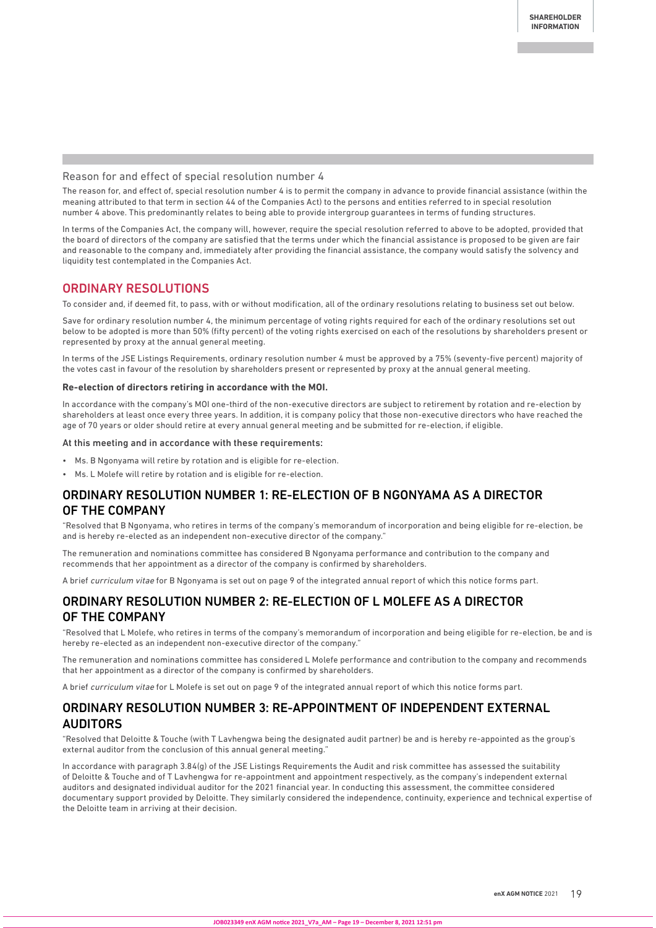#### Reason for and effect of special resolution number 4

The reason for, and effect of, special resolution number 4 is to permit the company in advance to provide financial assistance (within the meaning attributed to that term in section 44 of the Companies Act) to the persons and entities referred to in special resolution number 4 above. This predominantly relates to being able to provide intergroup guarantees in terms of funding structures.

In terms of the Companies Act, the company will, however, require the special resolution referred to above to be adopted, provided that the board of directors of the company are satisfied that the terms under which the financial assistance is proposed to be given are fair and reasonable to the company and, immediately after providing the financial assistance, the company would satisfy the solvency and liquidity test contemplated in the Companies Act.

#### ORDINARY RESOLUTIONS

To consider and, if deemed fit, to pass, with or without modification, all of the ordinary resolutions relating to business set out below.

Save for ordinary resolution number 4, the minimum percentage of voting rights required for each of the ordinary resolutions set out below to be adopted is more than 50% (fifty percent) of the voting rights exercised on each of the resolutions by shareholders present or represented by proxy at the annual general meeting.

In terms of the JSE Listings Requirements, ordinary resolution number 4 must be approved by a 75% (seventy-five percent) majority of the votes cast in favour of the resolution by shareholders present or represented by proxy at the annual general meeting.

#### **Re-election of directors retiring in accordance with the MOI.**

In accordance with the company's MOI one-third of the non-executive directors are subject to retirement by rotation and re-election by shareholders at least once every three years. In addition, it is company policy that those non-executive directors who have reached the age of 70 years or older should retire at every annual general meeting and be submitted for re-election, if eligible.

#### At this meeting and in accordance with these requirements:

- Ms. B Ngonyama will retire by rotation and is eligible for re-election.
- Ms. L Molefe will retire by rotation and is eligible for re-election.

### ORDINARY RESOLUTION NUMBER 1: RE-ELECTION OF B NGONYAMA AS A DIRECTOR OF THE COMPANY

"Resolved that B Ngonyama, who retires in terms of the company's memorandum of incorporation and being eligible for re-election, be and is hereby re-elected as an independent non-executive director of the company."

The remuneration and nominations committee has considered B Ngonyama performance and contribution to the company and recommends that her appointment as a director of the company is confirmed by shareholders.

A brief curriculum vitae for B Ngonyama is set out on page 9 of the integrated annual report of which this notice forms part.

### ORDINARY RESOLUTION NUMBER 2: RE-ELECTION OF L MOLEFE AS A DIRECTOR OF THE COMPANY

"Resolved that L Molefe, who retires in terms of the company's memorandum of incorporation and being eligible for re-election, be and is hereby re-elected as an independent non-executive director of the company."

The remuneration and nominations committee has considered L Molefe performance and contribution to the company and recommends that her appointment as a director of the company is confirmed by shareholders.

A brief curriculum vitae for L Molefe is set out on page 9 of the integrated annual report of which this notice forms part.

### ORDINARY RESOLUTION NUMBER 3: RE-APPOINTMENT OF INDEPENDENT EXTERNAL AUDITORS

"Resolved that Deloitte & Touche (with T Lavhengwa being the designated audit partner) be and is hereby re-appointed as the group's external auditor from the conclusion of this annual general meeting."

In accordance with paragraph 3.84(g) of the JSE Listings Requirements the Audit and risk committee has assessed the suitability of Deloitte & Touche and of T Lavhengwa for re-appointment and appointment respectively, as the company's independent external auditors and designated individual auditor for the 2021 financial year. In conducting this assessment, the committee considered documentary support provided by Deloitte. They similarly considered the independence, continuity, experience and technical expertise of the Deloitte team in arriving at their decision.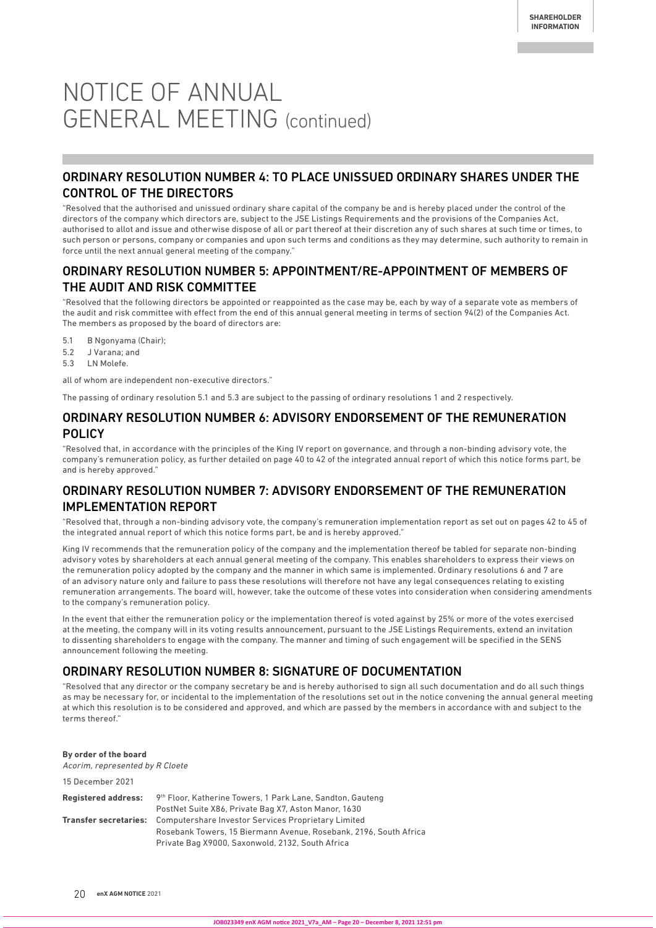## NOTICE OF ANNUAL GENERAL MEETING (continued)

## ORDINARY RESOLUTION NUMBER 4: TO PLACE UNISSUED ORDINARY SHARES UNDER THE CONTROL OF THE DIRECTORS

"Resolved that the authorised and unissued ordinary share capital of the company be and is hereby placed under the control of the directors of the company which directors are, subject to the JSE Listings Requirements and the provisions of the Companies Act, authorised to allot and issue and otherwise dispose of all or part thereof at their discretion any of such shares at such time or times, to such person or persons, company or companies and upon such terms and conditions as they may determine, such authority to remain in force until the next annual general meeting of the company."

## ORDINARY RESOLUTION NUMBER 5: APPOINTMENT/RE-APPOINTMENT OF MEMBERS OF THE AUDIT AND RISK COMMITTEE

"Resolved that the following directors be appointed or reappointed as the case may be, each by way of a separate vote as members of the audit and risk committee with effect from the end of this annual general meeting in terms of section 94(2) of the Companies Act. The members as proposed by the board of directors are:

- 5.1 B Ngonyama (Chair);
- 5.2 J Varana; and
- 5.3 LN Molefe.

all of whom are independent non-executive directors.

The passing of ordinary resolution 5.1 and 5.3 are subject to the passing of ordinary resolutions 1 and 2 respectively.

#### ORDINARY RESOLUTION NUMBER 6: ADVISORY ENDORSEMENT OF THE REMUNERATION POLICY

"Resolved that, in accordance with the principles of the King IV report on governance, and through a non-binding advisory vote, the company's remuneration policy, as further detailed on page 40 to 42 of the integrated annual report of which this notice forms part, be and is hereby approved."

## ORDINARY RESOLUTION NUMBER 7: ADVISORY ENDORSEMENT OF THE REMUNERATION IMPLEMENTATION REPORT

"Resolved that, through a non-binding advisory vote, the company's remuneration implementation report as set out on pages 42 to 45 of the integrated annual report of which this notice forms part, be and is hereby approved."

King IV recommends that the remuneration policy of the company and the implementation thereof be tabled for separate non-binding advisory votes by shareholders at each annual general meeting of the company. This enables shareholders to express their views on the remuneration policy adopted by the company and the manner in which same is implemented. Ordinary resolutions 6 and 7 are of an advisory nature only and failure to pass these resolutions will therefore not have any legal consequences relating to existing remuneration arrangements. The board will, however, take the outcome of these votes into consideration when considering amendments to the company's remuneration policy.

In the event that either the remuneration policy or the implementation thereof is voted against by 25% or more of the votes exercised at the meeting, the company will in its voting results announcement, pursuant to the JSE Listings Requirements, extend an invitation to dissenting shareholders to engage with the company. The manner and timing of such engagement will be specified in the SENS announcement following the meeting.

### ORDINARY RESOLUTION NUMBER 8: SIGNATURE OF DOCUMENTATION

"Resolved that any director or the company secretary be and is hereby authorised to sign all such documentation and do all such things as may be necessary for, or incidental to the implementation of the resolutions set out in the notice convening the annual general meeting at which this resolution is to be considered and approved, and which are passed by the members in accordance with and subject to the terms thereof."

#### **By order of the board**

15 December 2021

Acorim, represented by R Cloete

| TO DECEMBER ZUZT           |                                                                                  |
|----------------------------|----------------------------------------------------------------------------------|
| <b>Registered address:</b> | 9th Floor, Katherine Towers, 1 Park Lane, Sandton, Gauteng                       |
|                            | PostNet Suite X86, Private Bag X7, Aston Manor, 1630                             |
|                            | <b>Transfer secretaries:</b> Computershare Investor Services Proprietary Limited |
|                            | Rosebank Towers, 15 Biermann Avenue, Rosebank, 2196, South Africa                |
|                            | Private Bag X9000, Saxonwold, 2132, South Africa                                 |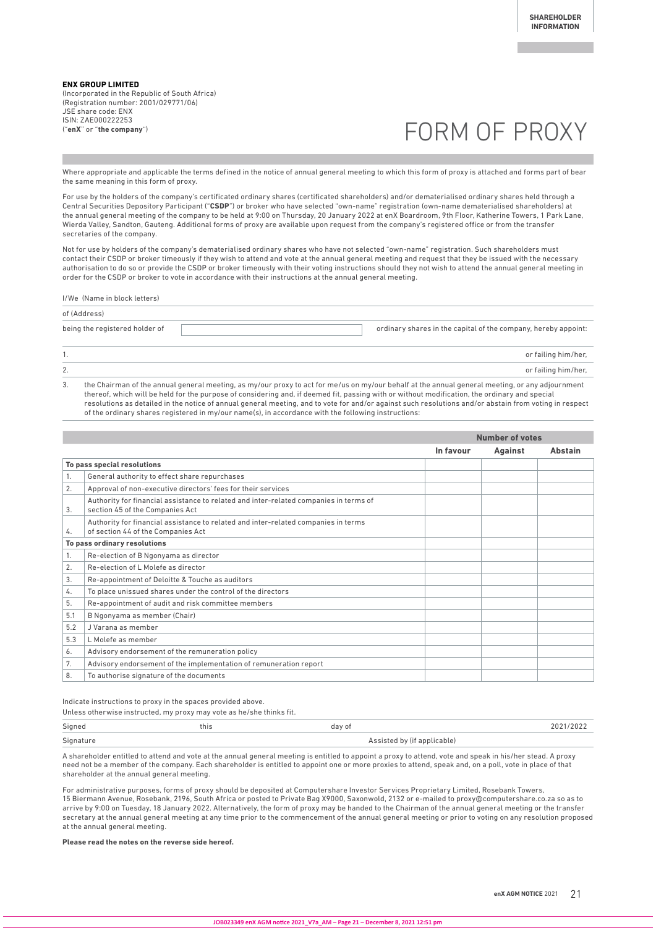**ENX GROUP LIMITED** (Incorporated in the Republic of South Africa) (Registration number: 2001/029771/06) JSE share code: ENX ISIN: ZAE000222253 ("**enX**" or "**the company**")

## FORM OF PROXY

Where appropriate and applicable the terms defined in the notice of annual general meeting to which this form of proxy is attached and forms part of bear the same meaning in this form of proxy.

For use by the holders of the company's certificated ordinary shares (certificated shareholders) and/or dematerialised ordinary shares held through a Central Securities Depository Participant ("**CSDP**") or broker who have selected "own-name" registration (own-name dematerialised shareholders) at the annual general meeting of the company to be held at 9:00 on Thursday, 20 January 2022 at enX Boardroom, 9th Floor, Katherine Towers, 1 Park Lane, Wierda Valley, Sandton, Gauteng. Additional forms of proxy are available upon request from the company's registered office or from the transfer secretaries of the company.

Not for use by holders of the company's dematerialised ordinary shares who have not selected "own-name" registration. Such shareholders must contact their CSDP or broker timeously if they wish to attend and vote at the annual general meeting and request that they be issued with the necessary authorisation to do so or provide the CSDP or broker timeously with their voting instructions should they not wish to attend the annual general meeting in order for the CSDP or broker to vote in accordance with their instructions at the annual general meeting.

I/We (Name in block letters)

| of (Address)                   |                                                                |  |  |  |
|--------------------------------|----------------------------------------------------------------|--|--|--|
| being the registered holder of | ordinary shares in the capital of the company, hereby appoint: |  |  |  |
|                                | or failing him/her,                                            |  |  |  |

2. or failing him/her,

3. the Chairman of the annual general meeting, as my/our proxy to act for me/us on my/our behalf at the annual general meeting, or any adjournment thereof, which will be held for the purpose of considering and, if deemed fit, passing with or without modification, the ordinary and special resolutions as detailed in the notice of annual general meeting, and to vote for and/or against such resolutions and/or abstain from voting in respect of the ordinary shares registered in my/our name(s), in accordance with the following instructions:

|     |                                                                                                                          | <b>Number of votes</b> |         |                |
|-----|--------------------------------------------------------------------------------------------------------------------------|------------------------|---------|----------------|
|     |                                                                                                                          | In favour              | Against | <b>Abstain</b> |
|     | To pass special resolutions                                                                                              |                        |         |                |
| 1.  | General authority to effect share repurchases                                                                            |                        |         |                |
| 2.  | Approval of non-executive directors' fees for their services                                                             |                        |         |                |
| 3.  | Authority for financial assistance to related and inter-related companies in terms of<br>section 45 of the Companies Act |                        |         |                |
| 4.  | Authority for financial assistance to related and inter-related companies in terms<br>of section 44 of the Companies Act |                        |         |                |
|     | To pass ordinary resolutions                                                                                             |                        |         |                |
| 1.  | Re-election of B Ngonyama as director                                                                                    |                        |         |                |
| 2.  | Re-election of L Molefe as director                                                                                      |                        |         |                |
| 3.  | Re-appointment of Deloitte & Touche as auditors                                                                          |                        |         |                |
| 4.  | To place unissued shares under the control of the directors                                                              |                        |         |                |
| 5.  | Re-appointment of audit and risk committee members                                                                       |                        |         |                |
| 5.1 | B Ngonyama as member (Chair)                                                                                             |                        |         |                |
| 5.2 | J Varana as member                                                                                                       |                        |         |                |
| 5.3 | L Molefe as member                                                                                                       |                        |         |                |
| 6.  | Advisory endorsement of the remuneration policy                                                                          |                        |         |                |
| 7.  | Advisory endorsement of the implementation of remuneration report                                                        |                        |         |                |
| 8.  | To authorise signature of the documents                                                                                  |                        |         |                |

Indicate instructions to proxy in the spaces provided above. Unless otherwise instructed, my proxy may vote as he/she thinks fit.

| Signed<br>day of<br>this                 | 2021/2022 |
|------------------------------------------|-----------|
| Signature<br>Assisted by (if applicable) |           |

A shareholder entitled to attend and vote at the annual general meeting is entitled to appoint a proxy to attend, vote and speak in his/her stead. A proxy need not be a member of the company. Each shareholder is entitled to appoint one or more proxies to attend, speak and, on a poll, vote in place of that shareholder at the annual general meeting.

For administrative purposes, forms of proxy should be deposited at Computershare Investor Services Proprietary Limited, Rosebank Towers, 15 Biermann Avenue, Rosebank, 2196, South Africa or posted to Private Bag X9000, Saxonwold, 2132 or e-mailed to proxy@computershare.co.za so as to arrive by 9:00 on Tuesday, 18 January 2022. Alternatively, the form of proxy may be handed to the Chairman of the annual general meeting or the transfer secretary at the annual general meeting at any time prior to the commencement of the annual general meeting or prior to voting on any resolution proposed at the annual general meeting.

**Please read the notes on the reverse side hereof.**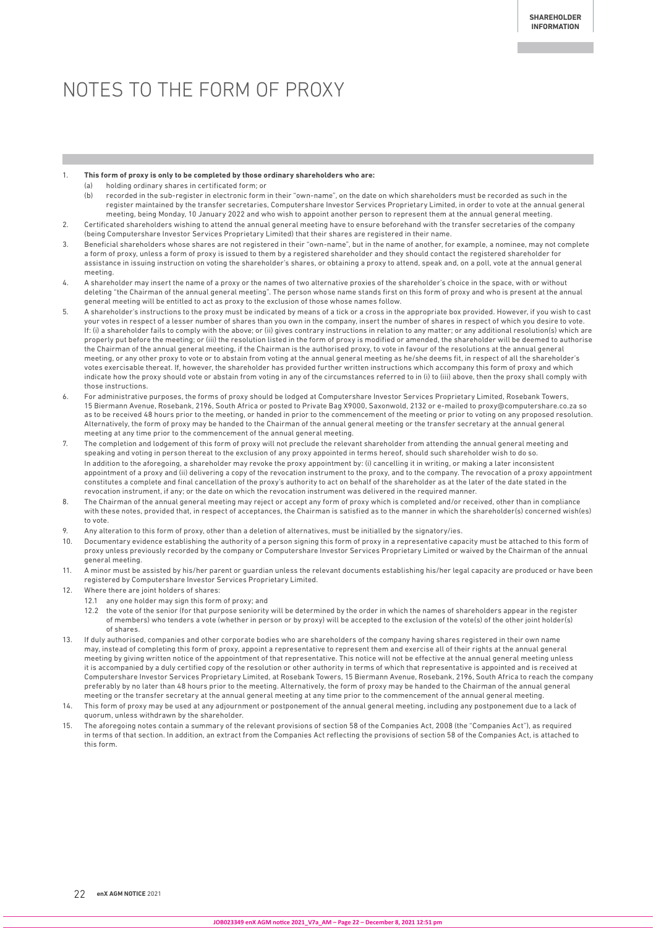## NOTES TO THE FORM OF PROXY

#### 1. **This form of proxy is only to be completed by those ordinary shareholders who are:**

- holding ordinary shares in certificated form; or
- (b) recorded in the sub-register in electronic form in their "own-name", on the date on which shareholders must be recorded as such in the register maintained by the transfer secretaries, Computershare Investor Services Proprietary Limited, in order to vote at the annual general meeting, being Monday, 10 January 2022 and who wish to appoint another person to represent them at the annual general meeting.
- 2. Certificated shareholders wishing to attend the annual general meeting have to ensure beforehand with the transfer secretaries of the company (being Computershare Investor Services Proprietary Limited) that their shares are registered in their name.
- 3. Beneficial shareholders whose shares are not registered in their "own-name", but in the name of another, for example, a nominee, may not complete a form of proxy, unless a form of proxy is issued to them by a registered shareholder and they should contact the registered shareholder for assistance in issuing instruction on voting the shareholder's shares, or obtaining a proxy to attend, speak and, on a poll, vote at the annual general meeting.
- 4. A shareholder may insert the name of a proxy or the names of two alternative proxies of the shareholder's choice in the space, with or without deleting "the Chairman of the annual general meeting". The person whose name stands first on this form of proxy and who is present at the annual general meeting will be entitled to act as proxy to the exclusion of those whose names follow.
- 5. A shareholder's instructions to the proxy must be indicated by means of a tick or a cross in the appropriate box provided. However, if you wish to cast your votes in respect of a lesser number of shares than you own in the company, insert the number of shares in respect of which you desire to vote. If: (i) a shareholder fails to comply with the above; or (ii) gives contrary instructions in relation to any matter; or any additional resolution(s) which are properly put before the meeting; or (iii) the resolution listed in the form of proxy is modified or amended, the shareholder will be deemed to authorise the Chairman of the annual general meeting, if the Chairman is the authorised proxy, to vote in favour of the resolutions at the annual general meeting, or any other proxy to vote or to abstain from voting at the annual general meeting as he/she deems fit, in respect of all the shareholder's votes exercisable thereat. If, however, the shareholder has provided further written instructions which accompany this form of proxy and which indicate how the proxy should vote or abstain from voting in any of the circumstances referred to in (i) to (iii) above, then the proxy shall comply with those instructions.
- 6. For administrative purposes, the forms of proxy should be lodged at Computershare Investor Services Proprietary Limited, Rosebank Towers, 15 Biermann Avenue, Rosebank, 2196, South Africa or posted to Private Bag X9000, Saxonwold, 2132 or e-mailed to proxy@computershare.co.za so as to be received 48 hours prior to the meeting, or handed in prior to the commencement of the meeting or prior to voting on any proposed resolution. Alternatively, the form of proxy may be handed to the Chairman of the annual general meeting or the transfer secretary at the annual general meeting at any time prior to the commencement of the annual general meeting.
- 7. The completion and lodgement of this form of proxy will not preclude the relevant shareholder from attending the annual general meeting and speaking and voting in person thereat to the exclusion of any proxy appointed in terms hereof, should such shareholder wish to do so. In addition to the aforegoing, a shareholder may revoke the proxy appointment by: (i) cancelling it in writing, or making a later inconsistent appointment of a proxy and (ii) delivering a copy of the revocation instrument to the proxy, and to the company. The revocation of a proxy appointment constitutes a complete and final cancellation of the proxy's authority to act on behalf of the shareholder as at the later of the date stated in the revocation instrument, if any; or the date on which the revocation instrument was delivered in the required manner.
- 8. The Chairman of the annual general meeting may reject or accept any form of proxy which is completed and/or received, other than in compliance with these notes, provided that, in respect of acceptances, the Chairman is satisfied as to the manner in which the shareholder(s) concerned wish(es) to vote.
- 9. Any alteration to this form of proxy, other than a deletion of alternatives, must be initialled by the signatory/ies.
- 10. Documentary evidence establishing the authority of a person signing this form of proxy in a representative capacity must be attached to this form of proxy unless previously recorded by the company or Computershare Investor Services Proprietary Limited or waived by the Chairman of the annual general meeting.
- 11. A minor must be assisted by his/her parent or guardian unless the relevant documents establishing his/her legal capacity are produced or have been registered by Computershare Investor Services Proprietary Limited.
- 12. Where there are joint holders of shares:
	- 12.1 any one holder may sign this form of proxy; and
	- 12.2 the vote of the senior (for that purpose seniority will be determined by the order in which the names of shareholders appear in the register of members) who tenders a vote (whether in person or by proxy) will be accepted to the exclusion of the vote(s) of the other joint holder(s) of shares.
- 13. If duly authorised, companies and other corporate bodies who are shareholders of the company having shares registered in their own name may, instead of completing this form of proxy, appoint a representative to represent them and exercise all of their rights at the annual general meeting by giving written notice of the appointment of that representative. This notice will not be effective at the annual general meeting unless it is accompanied by a duly certified copy of the resolution or other authority in terms of which that representative is appointed and is received at Computershare Investor Services Proprietary Limited, at Rosebank Towers, 15 Biermann Avenue, Rosebank, 2196, South Africa to reach the company preferably by no later than 48 hours prior to the meeting. Alternatively, the form of proxy may be handed to the Chairman of the annual general meeting or the transfer secretary at the annual general meeting at any time prior to the commencement of the annual general meeting.
- 14. This form of proxy may be used at any adjournment or postponement of the annual general meeting, including any postponement due to a lack of quorum, unless withdrawn by the shareholder.
- 15. The aforegoing notes contain a summary of the relevant provisions of section 58 of the Companies Act, 2008 (the "Companies Act"), as required in terms of that section. In addition, an extract from the Companies Act reflecting the provisions of section 58 of the Companies Act, is attached to this form.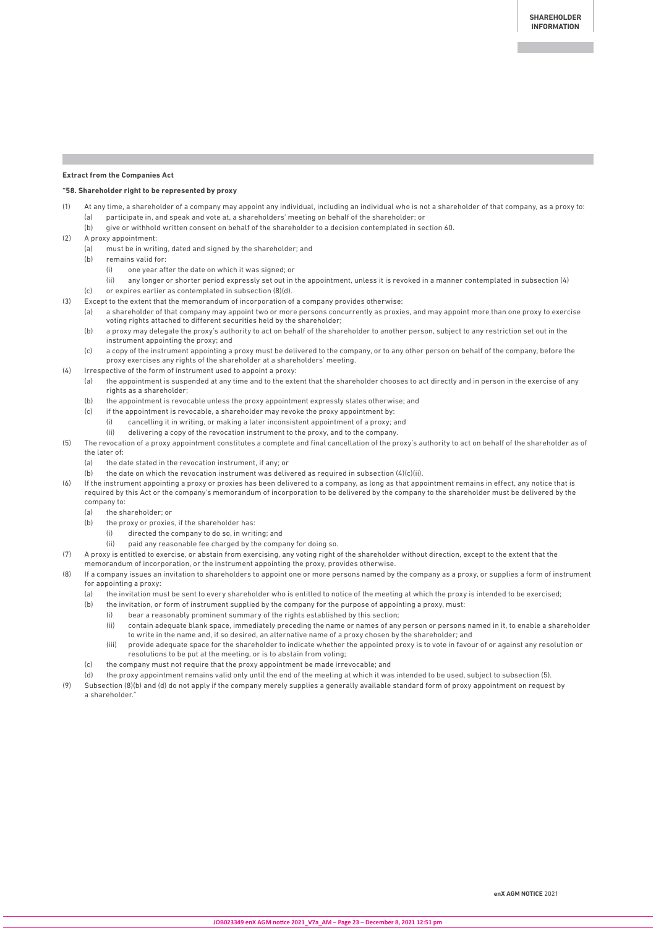#### **Extract from the Companies Act**

#### **"58. Shareholder right to be represented by proxy**

- (1) At any time, a shareholder of a company may appoint any individual, including an individual who is not a shareholder of that company, as a proxy to: (a) participate in, and speak and vote at, a shareholders' meeting on behalf of the shareholder; or
	- (b) give or withhold written consent on behalf of the shareholder to a decision contemplated in section 60.
- (2) A proxy appointment:
	- (a) must be in writing, dated and signed by the shareholder; and
	- (b) remains valid for:
		- (i) one year after the date on which it was signed; or
	- (ii) any longer or shorter period expressly set out in the appointment, unless it is revoked in a manner contemplated in subsection (4) (c) or expires earlier as contemplated in subsection (8)(d).
- (3) Except to the extent that the memorandum of incorporation of a company provides otherwise:
	- (a) a shareholder of that company may appoint two or more persons concurrently as proxies, and may appoint more than one proxy to exercise voting rights attached to different securities held by the shareholder;
	- (b) a proxy may delegate the proxy's authority to act on behalf of the shareholder to another person, subject to any restriction set out in the instrument appointing the proxy; and
	- (c) a copy of the instrument appointing a proxy must be delivered to the company, or to any other person on behalf of the company, before the proxy exercises any rights of the shareholder at a shareholders' meeting.
- (4) Irrespective of the form of instrument used to appoint a proxy:
	- (a) the appointment is suspended at any time and to the extent that the shareholder chooses to act directly and in person in the exercise of any rights as a shareholder;
	- (b) the appointment is revocable unless the proxy appointment expressly states otherwise; and
	- (c) if the appointment is revocable, a shareholder may revoke the proxy appointment by:
		- (i) cancelling it in writing, or making a later inconsistent appointment of a proxy; and
		- (ii) delivering a copy of the revocation instrument to the proxy, and to the company.
- (5) The revocation of a proxy appointment constitutes a complete and final cancellation of the proxy's authority to act on behalf of the shareholder as of the later of:
	- (a) the date stated in the revocation instrument, if any; or
	- (b) the date on which the revocation instrument was delivered as required in subsection  $(4)(c)(ii)$ .

(6) If the instrument appointing a proxy or proxies has been delivered to a company, as long as that appointment remains in effect, any notice that is required by this Act or the company's memorandum of incorporation to be delivered by the company to the shareholder must be delivered by the company to:

- (a) the shareholder; or
- (b) the proxy or proxies, if the shareholder has:
	- (i) directed the company to do so, in writing; and
	- (ii) paid any reasonable fee charged by the company for doing so.
- (7) A proxy is entitled to exercise, or abstain from exercising, any voting right of the shareholder without direction, except to the extent that the memorandum of incorporation, or the instrument appointing the proxy, provides otherwise.
- (8) If a company issues an invitation to shareholders to appoint one or more persons named by the company as a proxy, or supplies a form of instrument for appointing a proxy:
	- (a) the invitation must be sent to every shareholder who is entitled to notice of the meeting at which the proxy is intended to be exercised;
	- (b) the invitation, or form of instrument supplied by the company for the purpose of appointing a proxy, must:
		- (i) bear a reasonably prominent summary of the rights established by this section;
		- (ii) contain adequate blank space, immediately preceding the name or names of any person or persons named in it, to enable a shareholder to write in the name and, if so desired, an alternative name of a proxy chosen by the shareholder; and
		- (iii) provide adequate space for the shareholder to indicate whether the appointed proxy is to vote in favour of or against any resolution or resolutions to be put at the meeting, or is to abstain from voting;
	- (c) the company must not require that the proxy appointment be made irrevocable; and
	- (d) the proxy appointment remains valid only until the end of the meeting at which it was intended to be used, subject to subsection (5).
- (9) Subsection (8)(b) and (d) do not apply if the company merely supplies a generally available standard form of proxy appointment on request by a shareholder.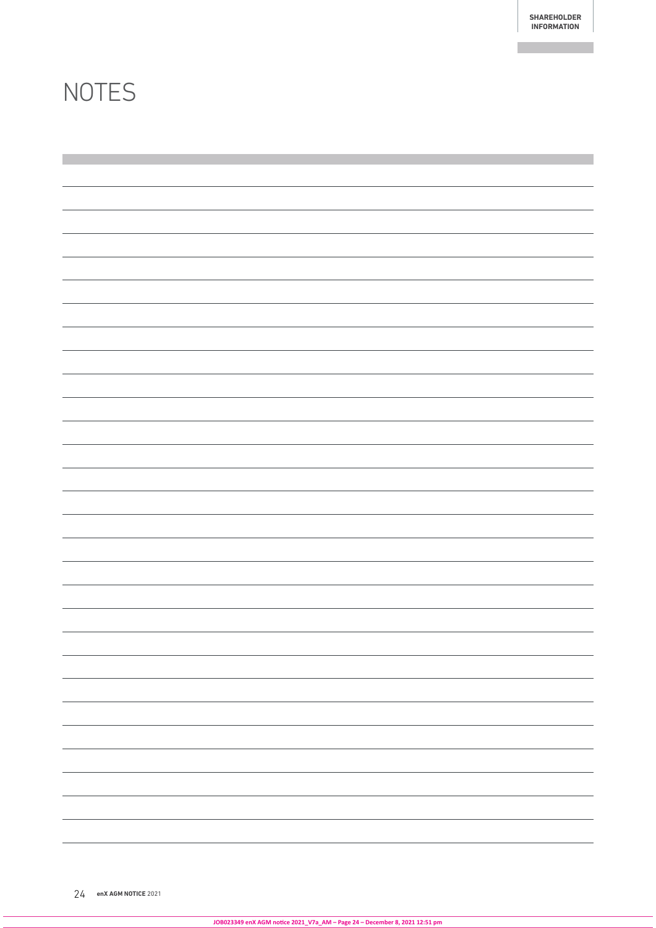## **NOTES**

| <u> 1989 - Andrea San Aonaichte ann an Chomhair ann an Chomhair ann an Chomhair ann an t-</u> |  |  |
|-----------------------------------------------------------------------------------------------|--|--|
|                                                                                               |  |  |
|                                                                                               |  |  |
|                                                                                               |  |  |
|                                                                                               |  |  |
|                                                                                               |  |  |
|                                                                                               |  |  |
|                                                                                               |  |  |
|                                                                                               |  |  |
|                                                                                               |  |  |
|                                                                                               |  |  |
|                                                                                               |  |  |
|                                                                                               |  |  |
|                                                                                               |  |  |
|                                                                                               |  |  |
|                                                                                               |  |  |
|                                                                                               |  |  |
|                                                                                               |  |  |
|                                                                                               |  |  |
|                                                                                               |  |  |
|                                                                                               |  |  |
|                                                                                               |  |  |
|                                                                                               |  |  |
|                                                                                               |  |  |
|                                                                                               |  |  |
|                                                                                               |  |  |
|                                                                                               |  |  |
|                                                                                               |  |  |
|                                                                                               |  |  |
|                                                                                               |  |  |
|                                                                                               |  |  |
|                                                                                               |  |  |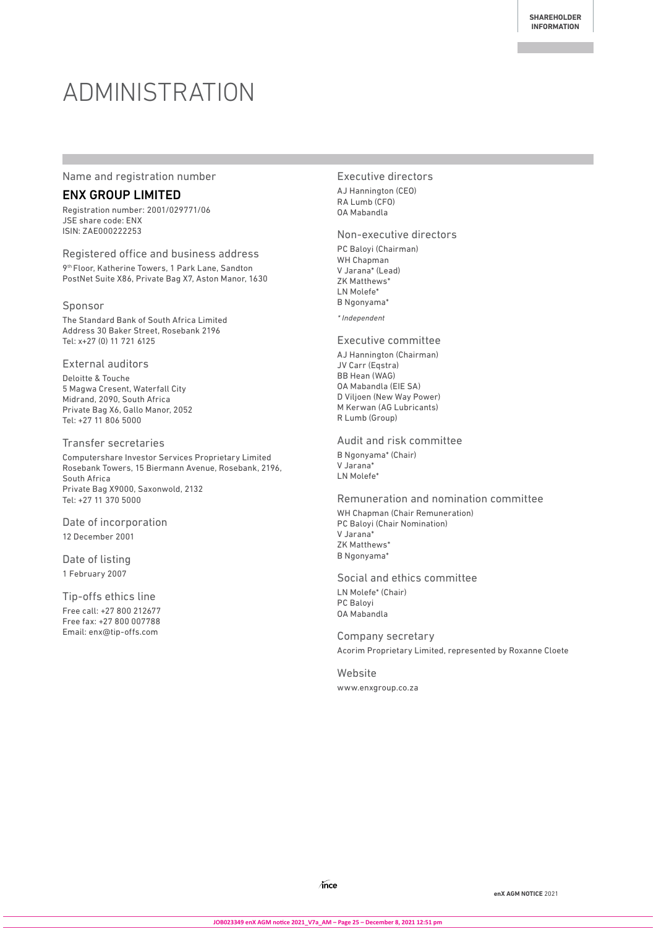# ADMINISTRATION

#### Name and registration number

### ENX GROUP LIMITED

Registration number: 2001/029771/06 JSE share code: ENX ISIN: ZAE000222253

Registered office and business address 9th Floor, Katherine Towers, 1 Park Lane, Sandton PostNet Suite X86, Private Bag X7, Aston Manor, 1630

#### Sponsor

The Standard Bank of South Africa Limited Address 30 Baker Street, Rosebank 2196 Tel: x+27 (0) 11 721 6125

#### External auditors

Deloitte & Touche 5 Magwa Cresent, Waterfall City Midrand, 2090, South Africa Private Bag X6, Gallo Manor, 2052 Tel: +27 11 806 5000

#### Transfer secretaries

Computershare Investor Services Proprietary Limited Rosebank Towers, 15 Biermann Avenue, Rosebank, 2196, South Africa Private Bag X9000, Saxonwold, 2132 Tel: +27 11 370 5000

Date of incorporation 12 December 2001

Date of listing 1 February 2007

Tip-offs ethics line Free call: +27 800 212677 Free fax: +27 800 007788 Email: enx@tip-offs.com

#### Executive directors

AJ Hannington (CEO) RA Lumb (CFO) OA Mabandla

#### Non-executive directors

PC Baloyi (Chairman) WH Chapman V Jarana\* (Lead) ZK Matthews\* LN Molefe\* B Ngonyama\*

\* Independent

#### Executive committee

AJ Hannington (Chairman) JV Carr (Eqstra) BB Hean (WAG) OA Mabandla (EIE SA) D Viljoen (New Way Power) M Kerwan (AG Lubricants) R Lumb (Group)

#### Audit and risk committee

B Ngonyama\* (Chair) V Jarana\* LN Molefe\*

#### Remuneration and nomination committee

WH Chapman (Chair Remuneration) PC Baloyi (Chair Nomination) V Jarana\* ZK Matthews' B Ngonyama\*

#### Social and ethics committee

LN Molefe\* (Chair) PC Baloyi OA Mabandla

Company secretary Acorim Proprietary Limited, represented by Roxanne Cloete

Website www.enxgroup.co.za